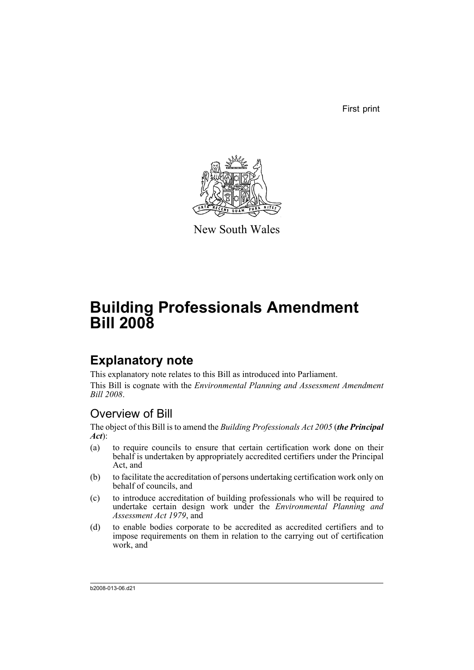First print



New South Wales

# **Building Professionals Amendment Bill 2008**

# **Explanatory note**

This explanatory note relates to this Bill as introduced into Parliament. This Bill is cognate with the *Environmental Planning and Assessment Amendment Bill 2008*.

## Overview of Bill

The object of this Bill is to amend the *Building Professionals Act 2005* (*the Principal Act*):

- (a) to require councils to ensure that certain certification work done on their behalf is undertaken by appropriately accredited certifiers under the Principal Act, and
- (b) to facilitate the accreditation of persons undertaking certification work only on behalf of councils, and
- (c) to introduce accreditation of building professionals who will be required to undertake certain design work under the *Environmental Planning and Assessment Act 1979*, and
- (d) to enable bodies corporate to be accredited as accredited certifiers and to impose requirements on them in relation to the carrying out of certification work, and

b2008-013-06.d21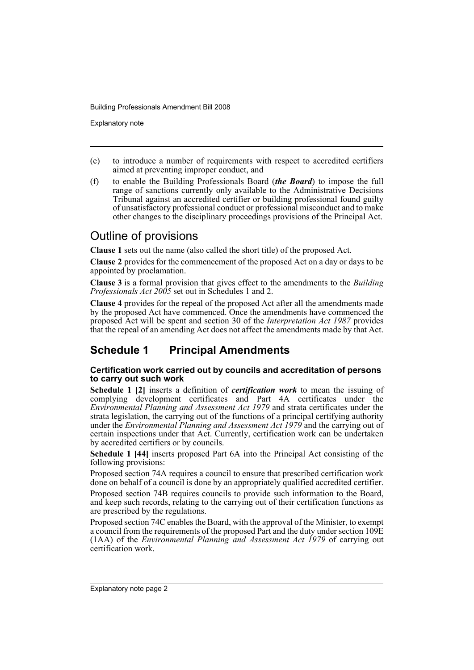Explanatory note

- (e) to introduce a number of requirements with respect to accredited certifiers aimed at preventing improper conduct, and
- (f) to enable the Building Professionals Board (*the Board*) to impose the full range of sanctions currently only available to the Administrative Decisions Tribunal against an accredited certifier or building professional found guilty of unsatisfactory professional conduct or professional misconduct and to make other changes to the disciplinary proceedings provisions of the Principal Act.

## Outline of provisions

**Clause 1** sets out the name (also called the short title) of the proposed Act.

**Clause 2** provides for the commencement of the proposed Act on a day or days to be appointed by proclamation.

**Clause 3** is a formal provision that gives effect to the amendments to the *Building Professionals Act 2005* set out in Schedules 1 and 2.

**Clause 4** provides for the repeal of the proposed Act after all the amendments made by the proposed Act have commenced. Once the amendments have commenced the proposed Act will be spent and section 30 of the *Interpretation Act 1987* provides that the repeal of an amending Act does not affect the amendments made by that Act.

## **Schedule 1 Principal Amendments**

#### **Certification work carried out by councils and accreditation of persons to carry out such work**

**Schedule 1 [2]** inserts a definition of *certification work* to mean the issuing of complying development certificates and Part 4A certificates under the *Environmental Planning and Assessment Act 1979* and strata certificates under the strata legislation, the carrying out of the functions of a principal certifying authority under the *Environmental Planning and Assessment Act 1979* and the carrying out of certain inspections under that Act. Currently, certification work can be undertaken by accredited certifiers or by councils.

**Schedule 1 [44]** inserts proposed Part 6A into the Principal Act consisting of the following provisions:

Proposed section 74A requires a council to ensure that prescribed certification work done on behalf of a council is done by an appropriately qualified accredited certifier.

Proposed section 74B requires councils to provide such information to the Board, and keep such records, relating to the carrying out of their certification functions as are prescribed by the regulations.

Proposed section 74C enables the Board, with the approval of the Minister, to exempt a council from the requirements of the proposed Part and the duty under section 109E (1AA) of the *Environmental Planning and Assessment Act 1979* of carrying out certification work.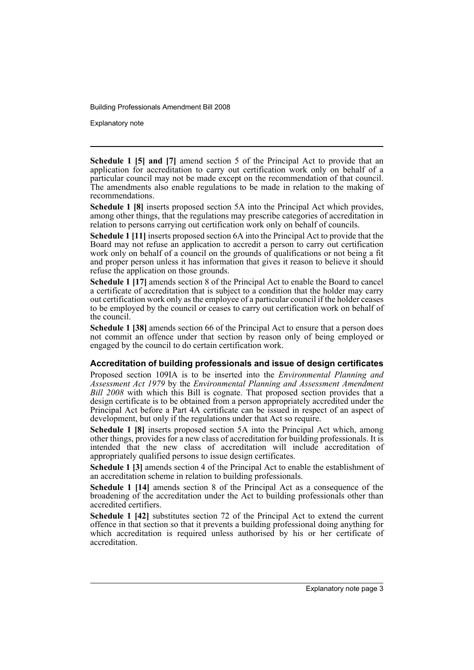Explanatory note

**Schedule 1 [5] and [7]** amend section 5 of the Principal Act to provide that an application for accreditation to carry out certification work only on behalf of a particular council may not be made except on the recommendation of that council. The amendments also enable regulations to be made in relation to the making of recommendations.

**Schedule 1 [8]** inserts proposed section 5A into the Principal Act which provides, among other things, that the regulations may prescribe categories of accreditation in relation to persons carrying out certification work only on behalf of councils.

**Schedule 1 [11]** inserts proposed section 6A into the Principal Act to provide that the Board may not refuse an application to accredit a person to carry out certification work only on behalf of a council on the grounds of qualifications or not being a fit and proper person unless it has information that gives it reason to believe it should refuse the application on those grounds.

**Schedule 1 [17]** amends section 8 of the Principal Act to enable the Board to cancel a certificate of accreditation that is subject to a condition that the holder may carry out certification work only as the employee of a particular council if the holder ceases to be employed by the council or ceases to carry out certification work on behalf of the council.

**Schedule 1 [38]** amends section 66 of the Principal Act to ensure that a person does not commit an offence under that section by reason only of being employed or engaged by the council to do certain certification work.

#### **Accreditation of building professionals and issue of design certificates**

Proposed section 109IA is to be inserted into the *Environmental Planning and Assessment Act 1979* by the *Environmental Planning and Assessment Amendment Bill 2008* with which this Bill is cognate. That proposed section provides that a design certificate is to be obtained from a person appropriately accredited under the Principal Act before a Part 4A certificate can be issued in respect of an aspect of development, but only if the regulations under that Act so require.

**Schedule 1 [8]** inserts proposed section 5A into the Principal Act which, among other things, provides for a new class of accreditation for building professionals. It is intended that the new class of accreditation will include accreditation of appropriately qualified persons to issue design certificates.

**Schedule 1 [3]** amends section 4 of the Principal Act to enable the establishment of an accreditation scheme in relation to building professionals.

**Schedule 1 [14]** amends section 8 of the Principal Act as a consequence of the broadening of the accreditation under the Act to building professionals other than accredited certifiers.

**Schedule 1 [42]** substitutes section 72 of the Principal Act to extend the current offence in that section so that it prevents a building professional doing anything for which accreditation is required unless authorised by his or her certificate of accreditation.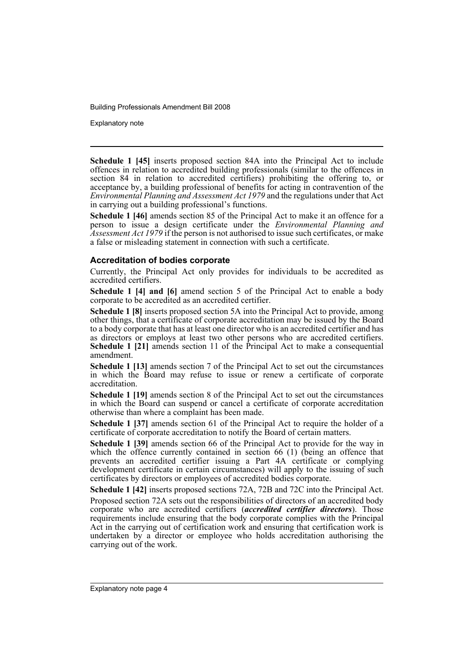Explanatory note

**Schedule 1 [45]** inserts proposed section 84A into the Principal Act to include offences in relation to accredited building professionals (similar to the offences in section 84 in relation to accredited certifiers) prohibiting the offering to, or acceptance by, a building professional of benefits for acting in contravention of the *Environmental Planning and Assessment Act 1979* and the regulations under that Act in carrying out a building professional's functions.

**Schedule 1 [46]** amends section 85 of the Principal Act to make it an offence for a person to issue a design certificate under the *Environmental Planning and Assessment Act 1979* if the person is not authorised to issue such certificates, or make a false or misleading statement in connection with such a certificate.

#### **Accreditation of bodies corporate**

Currently, the Principal Act only provides for individuals to be accredited as accredited certifiers.

**Schedule 1 [4] and [6]** amend section 5 of the Principal Act to enable a body corporate to be accredited as an accredited certifier.

**Schedule 1 [8]** inserts proposed section 5A into the Principal Act to provide, among other things, that a certificate of corporate accreditation may be issued by the Board to a body corporate that has at least one director who is an accredited certifier and has as directors or employs at least two other persons who are accredited certifiers. **Schedule 1 [21]** amends section 11 of the Principal Act to make a consequential amendment.

**Schedule 1 [13]** amends section 7 of the Principal Act to set out the circumstances in which the Board may refuse to issue or renew a certificate of corporate accreditation.

**Schedule 1 [19]** amends section 8 of the Principal Act to set out the circumstances in which the Board can suspend or cancel a certificate of corporate accreditation otherwise than where a complaint has been made.

**Schedule 1 [37]** amends section 61 of the Principal Act to require the holder of a certificate of corporate accreditation to notify the Board of certain matters.

**Schedule 1 [39]** amends section 66 of the Principal Act to provide for the way in which the offence currently contained in section 66 (1) (being an offence that prevents an accredited certifier issuing a Part 4A certificate or complying development certificate in certain circumstances) will apply to the issuing of such certificates by directors or employees of accredited bodies corporate.

**Schedule 1 [42]** inserts proposed sections 72A, 72B and 72C into the Principal Act.

Proposed section 72A sets out the responsibilities of directors of an accredited body corporate who are accredited certifiers (*accredited certifier directors*). Those requirements include ensuring that the body corporate complies with the Principal Act in the carrying out of certification work and ensuring that certification work is undertaken by a director or employee who holds accreditation authorising the carrying out of the work.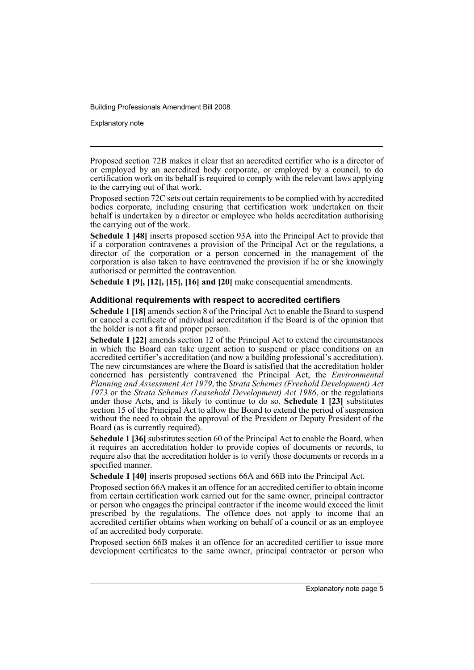Explanatory note

Proposed section 72B makes it clear that an accredited certifier who is a director of or employed by an accredited body corporate, or employed by a council, to do certification work on its behalf is required to comply with the relevant laws applying to the carrying out of that work.

Proposed section 72C sets out certain requirements to be complied with by accredited bodies corporate, including ensuring that certification work undertaken on their behalf is undertaken by a director or employee who holds accreditation authorising the carrying out of the work.

**Schedule 1 [48]** inserts proposed section 93A into the Principal Act to provide that if a corporation contravenes a provision of the Principal Act or the regulations, a director of the corporation or a person concerned in the management of the corporation is also taken to have contravened the provision if he or she knowingly authorised or permitted the contravention.

**Schedule 1 [9], [12], [15], [16] and [20]** make consequential amendments.

#### **Additional requirements with respect to accredited certifiers**

**Schedule 1 [18]** amends section 8 of the Principal Act to enable the Board to suspend or cancel a certificate of individual accreditation if the Board is of the opinion that the holder is not a fit and proper person.

**Schedule 1 [22]** amends section 12 of the Principal Act to extend the circumstances in which the Board can take urgent action to suspend or place conditions on an accredited certifier's accreditation (and now a building professional's accreditation). The new circumstances are where the Board is satisfied that the accreditation holder concerned has persistently contravened the Principal Act, the *Environmental Planning and Assessment Act 1979*, the *Strata Schemes (Freehold Development) Act 1973* or the *Strata Schemes (Leasehold Development) Act 1986*, or the regulations under those Acts, and is likely to continue to do so. **Schedule 1 [23]** substitutes section 15 of the Principal Act to allow the Board to extend the period of suspension without the need to obtain the approval of the President or Deputy President of the Board (as is currently required).

**Schedule 1 [36]** substitutes section 60 of the Principal Act to enable the Board, when it requires an accreditation holder to provide copies of documents or records, to require also that the accreditation holder is to verify those documents or records in a specified manner.

**Schedule 1 [40]** inserts proposed sections 66A and 66B into the Principal Act.

Proposed section 66A makes it an offence for an accredited certifier to obtain income from certain certification work carried out for the same owner, principal contractor or person who engages the principal contractor if the income would exceed the limit prescribed by the regulations. The offence does not apply to income that an accredited certifier obtains when working on behalf of a council or as an employee of an accredited body corporate.

Proposed section 66B makes it an offence for an accredited certifier to issue more development certificates to the same owner, principal contractor or person who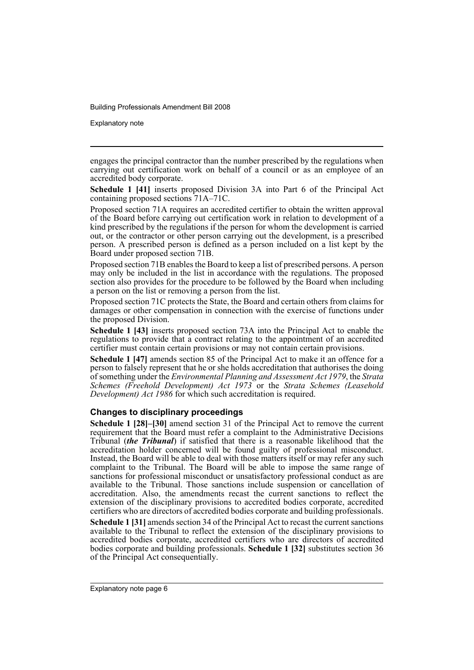Explanatory note

engages the principal contractor than the number prescribed by the regulations when carrying out certification work on behalf of a council or as an employee of an accredited body corporate.

**Schedule 1 [41]** inserts proposed Division 3A into Part 6 of the Principal Act containing proposed sections 71A–71C.

Proposed section 71A requires an accredited certifier to obtain the written approval of the Board before carrying out certification work in relation to development of a kind prescribed by the regulations if the person for whom the development is carried out, or the contractor or other person carrying out the development, is a prescribed person. A prescribed person is defined as a person included on a list kept by the Board under proposed section 71B.

Proposed section 71B enables the Board to keep a list of prescribed persons. A person may only be included in the list in accordance with the regulations. The proposed section also provides for the procedure to be followed by the Board when including a person on the list or removing a person from the list.

Proposed section 71C protects the State, the Board and certain others from claims for damages or other compensation in connection with the exercise of functions under the proposed Division.

**Schedule 1 [43]** inserts proposed section 73A into the Principal Act to enable the regulations to provide that a contract relating to the appointment of an accredited certifier must contain certain provisions or may not contain certain provisions.

**Schedule 1 [47]** amends section 85 of the Principal Act to make it an offence for a person to falsely represent that he or she holds accreditation that authorises the doing of something under the *Environmental Planning and Assessment Act 1979*, the *Strata Schemes (Freehold Development) Act 1973* or the *Strata Schemes (Leasehold Development) Act 1986* for which such accreditation is required.

#### **Changes to disciplinary proceedings**

**Schedule 1 [28]–[30]** amend section 31 of the Principal Act to remove the current requirement that the Board must refer a complaint to the Administrative Decisions Tribunal (*the Tribunal*) if satisfied that there is a reasonable likelihood that the accreditation holder concerned will be found guilty of professional misconduct. Instead, the Board will be able to deal with those matters itself or may refer any such complaint to the Tribunal. The Board will be able to impose the same range of sanctions for professional misconduct or unsatisfactory professional conduct as are available to the Tribunal. Those sanctions include suspension or cancellation of accreditation. Also, the amendments recast the current sanctions to reflect the extension of the disciplinary provisions to accredited bodies corporate, accredited certifiers who are directors of accredited bodies corporate and building professionals.

**Schedule 1 [31]** amends section 34 of the Principal Act to recast the current sanctions available to the Tribunal to reflect the extension of the disciplinary provisions to accredited bodies corporate, accredited certifiers who are directors of accredited bodies corporate and building professionals. **Schedule 1 [32]** substitutes section 36 of the Principal Act consequentially.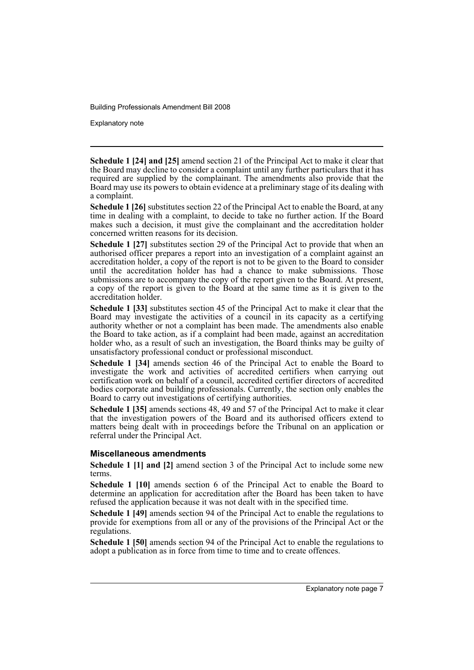Explanatory note

**Schedule 1 [24] and [25]** amend section 21 of the Principal Act to make it clear that the Board may decline to consider a complaint until any further particulars that it has required are supplied by the complainant. The amendments also provide that the Board may use its powers to obtain evidence at a preliminary stage of its dealing with a complaint.

**Schedule 1 [26]** substitutes section 22 of the Principal Act to enable the Board, at any time in dealing with a complaint, to decide to take no further action. If the Board makes such a decision, it must give the complainant and the accreditation holder concerned written reasons for its decision.

**Schedule 1 [27]** substitutes section 29 of the Principal Act to provide that when an authorised officer prepares a report into an investigation of a complaint against an accreditation holder, a copy of the report is not to be given to the Board to consider until the accreditation holder has had a chance to make submissions. Those submissions are to accompany the copy of the report given to the Board. At present, a copy of the report is given to the Board at the same time as it is given to the accreditation holder.

**Schedule 1 [33]** substitutes section 45 of the Principal Act to make it clear that the Board may investigate the activities of a council in its capacity as a certifying authority whether or not a complaint has been made. The amendments also enable the Board to take action, as if a complaint had been made, against an accreditation holder who, as a result of such an investigation, the Board thinks may be guilty of unsatisfactory professional conduct or professional misconduct.

**Schedule 1 [34]** amends section 46 of the Principal Act to enable the Board to investigate the work and activities of accredited certifiers when carrying out certification work on behalf of a council, accredited certifier directors of accredited bodies corporate and building professionals. Currently, the section only enables the Board to carry out investigations of certifying authorities.

**Schedule 1 [35]** amends sections 48, 49 and 57 of the Principal Act to make it clear that the investigation powers of the Board and its authorised officers extend to matters being dealt with in proceedings before the Tribunal on an application or referral under the Principal Act.

#### **Miscellaneous amendments**

**Schedule 1 [1] and [2]** amend section 3 of the Principal Act to include some new terms.

**Schedule 1 [10]** amends section 6 of the Principal Act to enable the Board to determine an application for accreditation after the Board has been taken to have refused the application because it was not dealt with in the specified time.

**Schedule 1 [49]** amends section 94 of the Principal Act to enable the regulations to provide for exemptions from all or any of the provisions of the Principal Act or the regulations.

**Schedule 1 [50]** amends section 94 of the Principal Act to enable the regulations to adopt a publication as in force from time to time and to create offences.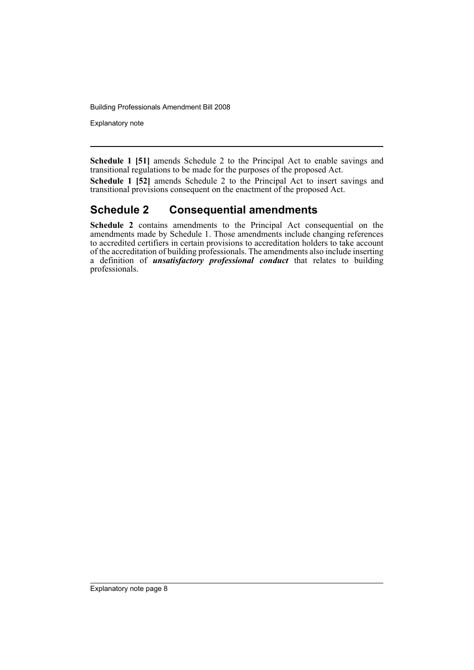Explanatory note

**Schedule 1 [51]** amends Schedule 2 to the Principal Act to enable savings and transitional regulations to be made for the purposes of the proposed Act.

**Schedule 1 [52]** amends Schedule 2 to the Principal Act to insert savings and transitional provisions consequent on the enactment of the proposed Act.

### **Schedule 2 Consequential amendments**

**Schedule 2** contains amendments to the Principal Act consequential on the amendments made by Schedule 1. Those amendments include changing references to accredited certifiers in certain provisions to accreditation holders to take account of the accreditation of building professionals. The amendments also include inserting a definition of *unsatisfactory professional conduct* that relates to building professionals.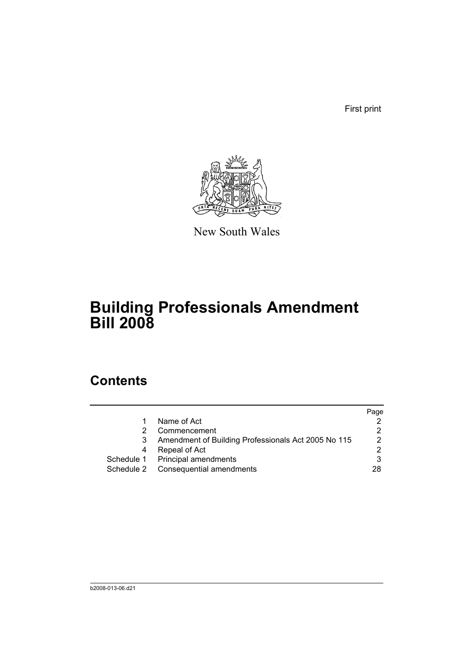First print



New South Wales

# **Building Professionals Amendment Bill 2008**

# **Contents**

|            |                                                     | Page |
|------------|-----------------------------------------------------|------|
|            | Name of Act                                         |      |
| 2          | Commencement                                        |      |
| 3          | Amendment of Building Professionals Act 2005 No 115 | っ    |
| 4          | Repeal of Act                                       | ⌒    |
|            | Schedule 1 Principal amendments                     | 3    |
| Schedule 2 | Consequential amendments                            | 28   |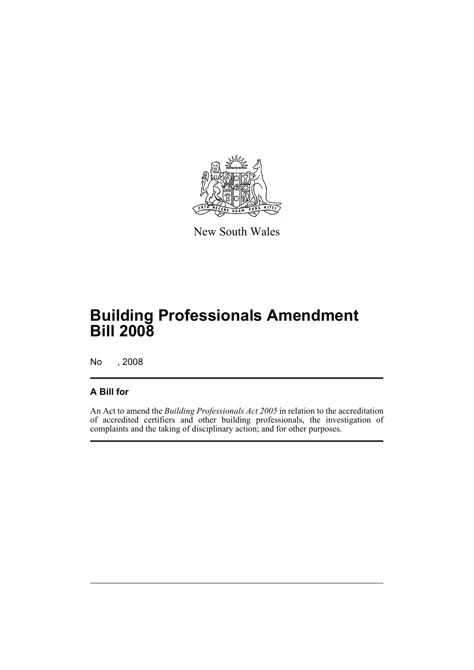

New South Wales

# **Building Professionals Amendment Bill 2008**

No , 2008

### **A Bill for**

An Act to amend the *Building Professionals Act 2005* in relation to the accreditation of accredited certifiers and other building professionals, the investigation of complaints and the taking of disciplinary action; and for other purposes.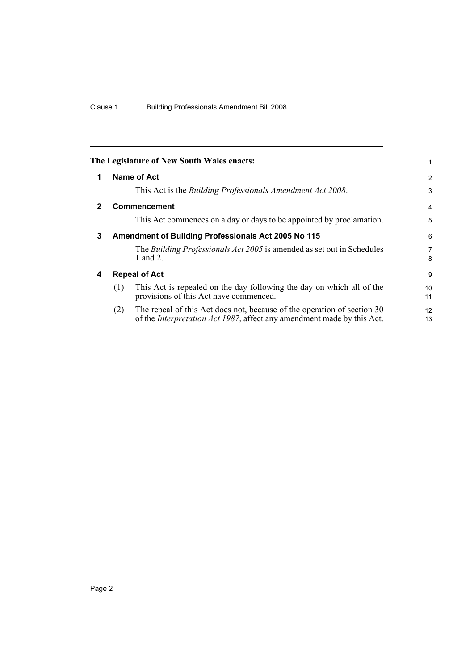<span id="page-11-3"></span><span id="page-11-2"></span><span id="page-11-1"></span><span id="page-11-0"></span>

|   | The Legislature of New South Wales enacts:                                                                                                                       | 1                   |
|---|------------------------------------------------------------------------------------------------------------------------------------------------------------------|---------------------|
| 1 | Name of Act                                                                                                                                                      | $\overline{2}$      |
|   | This Act is the Building Professionals Amendment Act 2008.                                                                                                       | 3                   |
| 2 | <b>Commencement</b>                                                                                                                                              | $\overline{4}$      |
|   | This Act commences on a day or days to be appointed by proclamation.                                                                                             | 5                   |
| 3 | Amendment of Building Professionals Act 2005 No 115                                                                                                              | 6                   |
|   | The <i>Building Professionals Act 2005</i> is amended as set out in Schedules<br>1 and 2.                                                                        | $\overline{7}$<br>8 |
| 4 | <b>Repeal of Act</b>                                                                                                                                             | 9                   |
|   | This Act is repealed on the day following the day on which all of the<br>(1)<br>provisions of this Act have commenced.                                           | 10<br>11            |
|   | The repeal of this Act does not, because of the operation of section 30<br>(2)<br>of the <i>Interpretation Act 1987</i> , affect any amendment made by this Act. | 12<br>13            |
|   |                                                                                                                                                                  |                     |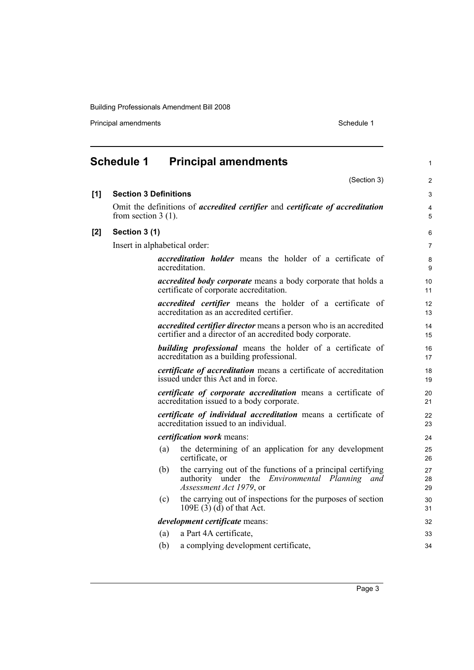Principal amendments **Schedule 1** Schedule 1

<span id="page-12-0"></span>

|       | <b>Schedule 1</b>            |                               | <b>Principal amendments</b>                                                                                                                     | 1              |  |  |
|-------|------------------------------|-------------------------------|-------------------------------------------------------------------------------------------------------------------------------------------------|----------------|--|--|
|       |                              |                               | (Section 3)                                                                                                                                     | 2              |  |  |
| [1]   | <b>Section 3 Definitions</b> |                               |                                                                                                                                                 | 3              |  |  |
|       | from section $3(1)$ .        |                               | Omit the definitions of <i>accredited certifier</i> and <i>certificate of accreditation</i>                                                     | 4<br>5         |  |  |
| $[2]$ | Section 3 (1)                |                               |                                                                                                                                                 | 6              |  |  |
|       |                              | Insert in alphabetical order: |                                                                                                                                                 |                |  |  |
|       |                              |                               | accreditation holder means the holder of a certificate of<br>accreditation.                                                                     | 8<br>9         |  |  |
|       |                              |                               | <i>accredited body corporate</i> means a body corporate that holds a<br>certificate of corporate accreditation.                                 | 10<br>11       |  |  |
|       |                              |                               | <i>accredited certifier</i> means the holder of a certificate of<br>accreditation as an accredited certifier.                                   | 12<br>13       |  |  |
|       |                              |                               | <i>accredited certifier director</i> means a person who is an accredited<br>certifier and a director of an accredited body corporate.           | 14<br>15       |  |  |
|       |                              |                               | <b>building professional</b> means the holder of a certificate of<br>accreditation as a building professional.                                  | 16<br>17       |  |  |
|       |                              |                               | certificate of accreditation means a certificate of accreditation<br>issued under this Act and in force.                                        | 18<br>19       |  |  |
|       |                              |                               | certificate of corporate accreditation means a certificate of<br>accreditation issued to a body corporate.                                      | 20<br>21       |  |  |
|       |                              |                               | certificate of individual accreditation means a certificate of<br>accreditation issued to an individual.                                        | 22<br>23       |  |  |
|       |                              |                               | <i>certification work</i> means:                                                                                                                | 24             |  |  |
|       |                              | (a)                           | the determining of an application for any development<br>certificate, or                                                                        | 25<br>26       |  |  |
|       |                              | (b)                           | the carrying out of the functions of a principal certifying<br>authority under the <i>Environmental Planning and</i><br>Assessment Act 1979, or | 27<br>28<br>29 |  |  |
|       |                              | (c)                           | the carrying out of inspections for the purposes of section<br>$109E(3)$ (d) of that Act.                                                       | 30<br>31       |  |  |
|       |                              |                               | development certificate means:                                                                                                                  | 32             |  |  |
|       |                              | (a)                           | a Part 4A certificate,                                                                                                                          | 33             |  |  |
|       |                              | (b)                           | a complying development certificate,                                                                                                            | 34             |  |  |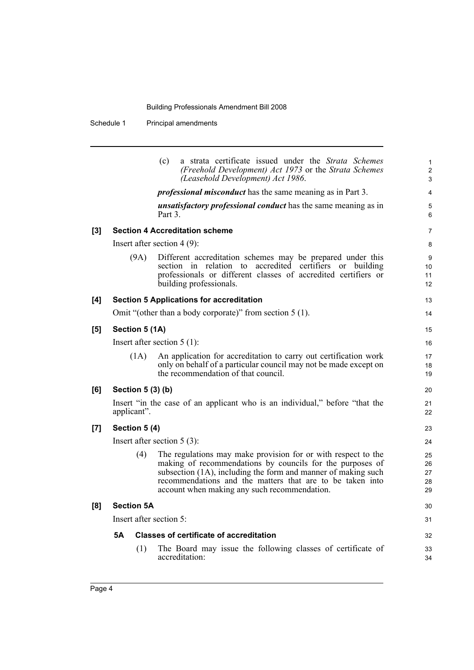Schedule 1 Principal amendments

|       |           |                   | a strata certificate issued under the Strata Schemes<br>(c)<br>(Freehold Development) Act 1973 or the Strata Schemes<br>(Leasehold Development) Act 1986.                                                                                                                                                | $\mathbf{1}$<br>$\overline{c}$<br>3 |
|-------|-----------|-------------------|----------------------------------------------------------------------------------------------------------------------------------------------------------------------------------------------------------------------------------------------------------------------------------------------------------|-------------------------------------|
|       |           |                   | <i>professional misconduct</i> has the same meaning as in Part 3.                                                                                                                                                                                                                                        | 4                                   |
|       |           |                   | <i>unsatisfactory professional conduct</i> has the same meaning as in<br>Part 3.                                                                                                                                                                                                                         | 5<br>6                              |
| $[3]$ |           |                   | <b>Section 4 Accreditation scheme</b>                                                                                                                                                                                                                                                                    | 7                                   |
|       |           |                   | Insert after section $4(9)$ :                                                                                                                                                                                                                                                                            | 8                                   |
|       |           | (9A)              | Different accreditation schemes may be prepared under this<br>section in relation to accredited certifiers or<br>building<br>professionals or different classes of accredited certifiers or<br>building professionals.                                                                                   | 9<br>10<br>11<br>12                 |
| [4]   |           |                   | <b>Section 5 Applications for accreditation</b>                                                                                                                                                                                                                                                          | 13                                  |
|       |           |                   | Omit "(other than a body corporate)" from section $5(1)$ .                                                                                                                                                                                                                                               | 14                                  |
| [5]   |           | Section 5 (1A)    |                                                                                                                                                                                                                                                                                                          | 15                                  |
|       |           |                   | Insert after section $5(1)$ :                                                                                                                                                                                                                                                                            | 16                                  |
|       |           | (1A)              | An application for accreditation to carry out certification work<br>only on behalf of a particular council may not be made except on<br>the recommendation of that council.                                                                                                                              | 17<br>18<br>19                      |
| [6]   |           | Section 5 (3) (b) |                                                                                                                                                                                                                                                                                                          | 20                                  |
|       |           | applicant".       | Insert "in the case of an applicant who is an individual," before "that the                                                                                                                                                                                                                              | 21<br>22                            |
| [7]   |           | Section 5 (4)     |                                                                                                                                                                                                                                                                                                          | 23                                  |
|       |           |                   | Insert after section $5(3)$ :                                                                                                                                                                                                                                                                            | 24                                  |
|       |           | (4)               | The regulations may make provision for or with respect to the<br>making of recommendations by councils for the purposes of<br>subsection (1A), including the form and manner of making such<br>recommendations and the matters that are to be taken into<br>account when making any such recommendation. | 25<br>26<br>27<br>28<br>29          |
| [8]   |           | <b>Section 5A</b> |                                                                                                                                                                                                                                                                                                          | 30                                  |
|       |           |                   | Insert after section 5:                                                                                                                                                                                                                                                                                  | 31                                  |
|       | <b>5A</b> |                   | <b>Classes of certificate of accreditation</b>                                                                                                                                                                                                                                                           | 32                                  |
|       |           | (1)               | The Board may issue the following classes of certificate of<br>accreditation:                                                                                                                                                                                                                            | 33<br>34                            |
|       |           |                   |                                                                                                                                                                                                                                                                                                          |                                     |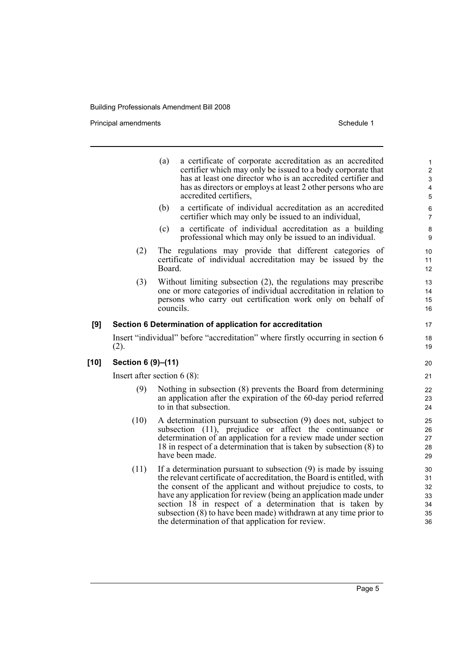Principal amendments **Schedule 1** Schedule 1

|        |                    | (a)<br>a certificate of corporate accreditation as an accredited<br>certifier which may only be issued to a body corporate that<br>has at least one director who is an accredited certifier and<br>has as directors or employs at least 2 other persons who are<br>accredited certifiers,                                                                                                                                                                                 | $\mathbf{1}$<br>$\overline{2}$<br>$\mathsf 3$<br>$\overline{\mathbf{4}}$<br>$\sqrt{5}$ |
|--------|--------------------|---------------------------------------------------------------------------------------------------------------------------------------------------------------------------------------------------------------------------------------------------------------------------------------------------------------------------------------------------------------------------------------------------------------------------------------------------------------------------|----------------------------------------------------------------------------------------|
|        |                    | a certificate of individual accreditation as an accredited<br>(b)<br>certifier which may only be issued to an individual,                                                                                                                                                                                                                                                                                                                                                 | $\,6\,$<br>$\overline{7}$                                                              |
|        |                    | a certificate of individual accreditation as a building<br>(c)<br>professional which may only be issued to an individual.                                                                                                                                                                                                                                                                                                                                                 | 8<br>9                                                                                 |
|        | (2)                | The regulations may provide that different categories of<br>certificate of individual accreditation may be issued by the<br>Board.                                                                                                                                                                                                                                                                                                                                        | 10<br>11<br>12                                                                         |
|        | (3)                | Without limiting subsection (2), the regulations may prescribe<br>one or more categories of individual accreditation in relation to<br>persons who carry out certification work only on behalf of<br>councils.                                                                                                                                                                                                                                                            | 13<br>14<br>15<br>16                                                                   |
| [9]    |                    | Section 6 Determination of application for accreditation                                                                                                                                                                                                                                                                                                                                                                                                                  | 17                                                                                     |
|        | (2).               | Insert "individual" before "accreditation" where firstly occurring in section 6                                                                                                                                                                                                                                                                                                                                                                                           | 18<br>19                                                                               |
| $[10]$ | Section 6 (9)-(11) |                                                                                                                                                                                                                                                                                                                                                                                                                                                                           | 20                                                                                     |
|        |                    | Insert after section $6(8)$ :                                                                                                                                                                                                                                                                                                                                                                                                                                             | 21                                                                                     |
|        | (9)                | Nothing in subsection (8) prevents the Board from determining<br>an application after the expiration of the 60-day period referred<br>to in that subsection.                                                                                                                                                                                                                                                                                                              | 22<br>23<br>24                                                                         |
|        | (10)               | A determination pursuant to subsection (9) does not, subject to<br>subsection (11), prejudice or affect the continuance or<br>determination of an application for a review made under section<br>18 in respect of a determination that is taken by subsection (8) to<br>have been made.                                                                                                                                                                                   | 25<br>26<br>27<br>28<br>29                                                             |
|        | (11)               | If a determination pursuant to subsection $(9)$ is made by issuing<br>the relevant certificate of accreditation, the Board is entitled, with<br>the consent of the applicant and without prejudice to costs, to<br>have any application for review (being an application made under<br>section 18 in respect of a determination that is taken by<br>subsection (8) to have been made) withdrawn at any time prior to<br>the determination of that application for review. | 30<br>31<br>32<br>33<br>34<br>35<br>36                                                 |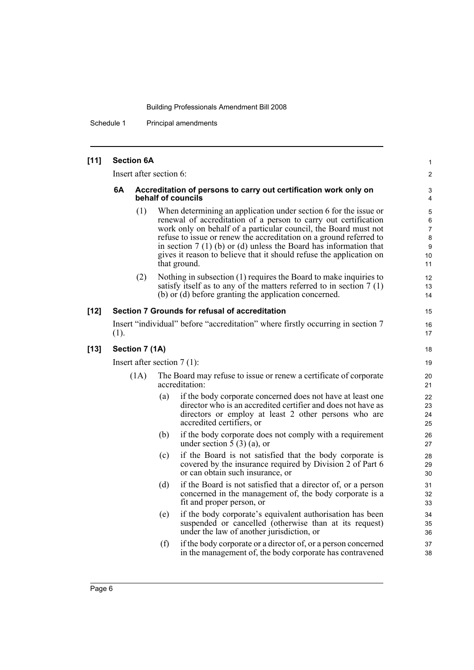Schedule 1 Principal amendments

| $[11]$ |                               | <b>Section 6A</b> |                         |                                                                                                                                                                                                                                                                                                                                                                                                                                           | $\mathbf{1}$                      |  |
|--------|-------------------------------|-------------------|-------------------------|-------------------------------------------------------------------------------------------------------------------------------------------------------------------------------------------------------------------------------------------------------------------------------------------------------------------------------------------------------------------------------------------------------------------------------------------|-----------------------------------|--|
|        |                               |                   | Insert after section 6: |                                                                                                                                                                                                                                                                                                                                                                                                                                           | $\overline{2}$                    |  |
|        | 6A                            |                   |                         | Accreditation of persons to carry out certification work only on<br>behalf of councils                                                                                                                                                                                                                                                                                                                                                    | 3<br>4                            |  |
|        |                               | (1)               |                         | When determining an application under section 6 for the issue or<br>renewal of accreditation of a person to carry out certification<br>work only on behalf of a particular council, the Board must not<br>refuse to issue or renew the accreditation on a ground referred to<br>in section $7(1)$ (b) or (d) unless the Board has information that<br>gives it reason to believe that it should refuse the application on<br>that ground. | 5<br>6<br>7<br>8<br>9<br>10<br>11 |  |
|        |                               | (2)               |                         | Nothing in subsection (1) requires the Board to make inquiries to<br>satisfy itself as to any of the matters referred to in section $7(1)$<br>(b) or (d) before granting the application concerned.                                                                                                                                                                                                                                       | 12<br>13<br>14                    |  |
| $[12]$ |                               |                   |                         | Section 7 Grounds for refusal of accreditation                                                                                                                                                                                                                                                                                                                                                                                            | 15                                |  |
|        | (1).                          |                   |                         | Insert "individual" before "accreditation" where firstly occurring in section 7                                                                                                                                                                                                                                                                                                                                                           | 16<br>17                          |  |
| $[13]$ | Section 7 (1A)                |                   |                         |                                                                                                                                                                                                                                                                                                                                                                                                                                           |                                   |  |
|        | Insert after section $7(1)$ : |                   |                         |                                                                                                                                                                                                                                                                                                                                                                                                                                           | 19                                |  |
|        |                               | (1A)              |                         | The Board may refuse to issue or renew a certificate of corporate<br>accreditation:                                                                                                                                                                                                                                                                                                                                                       | 20<br>21                          |  |
|        |                               |                   | (a)                     | if the body corporate concerned does not have at least one<br>director who is an accredited certifier and does not have as<br>directors or employ at least 2 other persons who are<br>accredited certifiers, or                                                                                                                                                                                                                           | 22<br>23<br>24<br>25              |  |
|        |                               |                   | (b)                     | if the body corporate does not comply with a requirement<br>under section $\overline{5}$ (3) (a), or                                                                                                                                                                                                                                                                                                                                      | 26<br>27                          |  |
|        |                               |                   | (c)                     | if the Board is not satisfied that the body corporate is<br>covered by the insurance required by Division 2 of Part 6<br>or can obtain such insurance, or                                                                                                                                                                                                                                                                                 | 28<br>29<br>30                    |  |
|        |                               |                   | (d)                     | if the Board is not satisfied that a director of, or a person<br>concerned in the management of, the body corporate is a<br>fit and proper person, or                                                                                                                                                                                                                                                                                     | 31<br>32<br>33                    |  |
|        |                               |                   | (e)                     | if the body corporate's equivalent authorisation has been<br>suspended or cancelled (otherwise than at its request)<br>under the law of another jurisdiction, or                                                                                                                                                                                                                                                                          | 34<br>35<br>36                    |  |
|        |                               |                   | (f)                     | if the body corporate or a director of, or a person concerned<br>in the management of, the body corporate has contravened                                                                                                                                                                                                                                                                                                                 | 37<br>38                          |  |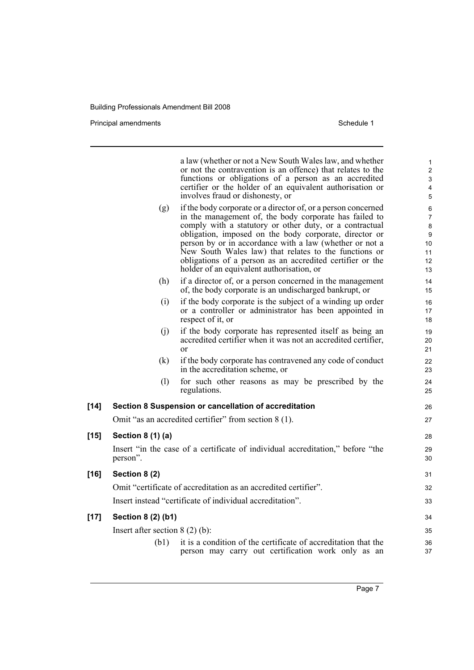Principal amendments **Schedule 1** and the set of the set of the Schedule 1 and the Schedule 1

a law (whether or not a New South Wales law, and whether or not the contravention is an offence) that relates to the functions or obligations of a person as an accredited certifier or the holder of an equivalent authorisation or involves fraud or dishonesty, or (g) if the body corporate or a director of, or a person concerned in the management of, the body corporate has failed to comply with a statutory or other duty, or a contractual obligation, imposed on the body corporate, director or person by or in accordance with a law (whether or not a New South Wales law) that relates to the functions or obligations of a person as an accredited certifier or the holder of an equivalent authorisation, or (h) if a director of, or a person concerned in the management of, the body corporate is an undischarged bankrupt, or (i) if the body corporate is the subject of a winding up order or a controller or administrator has been appointed in respect of it, or (j) if the body corporate has represented itself as being an accredited certifier when it was not an accredited certifier, or (k) if the body corporate has contravened any code of conduct in the accreditation scheme, or (l) for such other reasons as may be prescribed by the regulations. **[14] Section 8 Suspension or cancellation of accreditation** Omit "as an accredited certifier" from section 8 (1). **[15] Section 8 (1) (a)** Insert "in the case of a certificate of individual accreditation," before "the person". **[16] Section 8 (2)** Omit "certificate of accreditation as an accredited certifier". Insert instead "certificate of individual accreditation". **[17] Section 8 (2) (b1)** Insert after section 8 (2) (b): (b1) it is a condition of the certificate of accreditation that the person may carry out certification work only as an 1 2 3 4 5 6 7 8 **9** 10 11 12 13 14 15 16 17 18 19  $20$ 21 22 23 24 25 26 27 28 29 30 31 32 33 34 35 36 37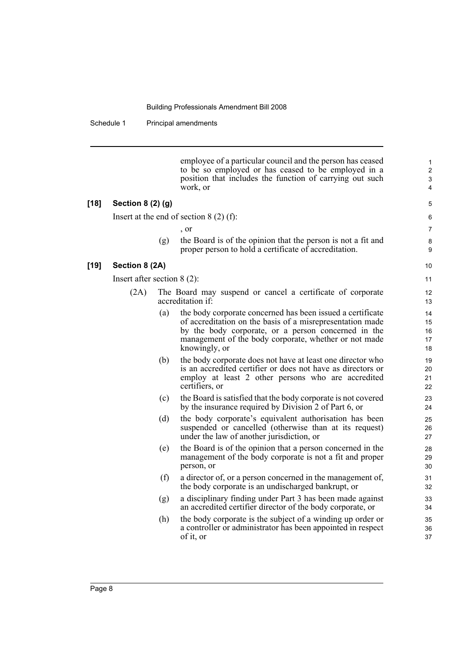Schedule 1 Principal amendments

employee of a particular council and the person has ceased to be so employed or has ceased to be employed in a position that includes the function of carrying out such work, or

#### **[18] Section 8 (2) (g)**

Insert at the end of section 8 (2) (f):

, or

(g) the Board is of the opinion that the person is not a fit and proper person to hold a certificate of accreditation.

#### **[19] Section 8 (2A)**

Insert after section 8 (2):

- (2A) The Board may suspend or cancel a certificate of corporate accreditation if:
	- (a) the body corporate concerned has been issued a certificate of accreditation on the basis of a misrepresentation made by the body corporate, or a person concerned in the management of the body corporate, whether or not made knowingly, or
	- (b) the body corporate does not have at least one director who is an accredited certifier or does not have as directors or employ at least 2 other persons who are accredited certifiers, or
	- (c) the Board is satisfied that the body corporate is not covered by the insurance required by Division 2 of Part 6, or
	- (d) the body corporate's equivalent authorisation has been suspended or cancelled (otherwise than at its request) under the law of another jurisdiction, or
	- (e) the Board is of the opinion that a person concerned in the management of the body corporate is not a fit and proper person, or
	- (f) a director of, or a person concerned in the management of, the body corporate is an undischarged bankrupt, or
	- (g) a disciplinary finding under Part 3 has been made against an accredited certifier director of the body corporate, or
	- (h) the body corporate is the subject of a winding up order or a controller or administrator has been appointed in respect of it, or

9 10

11

35 36 37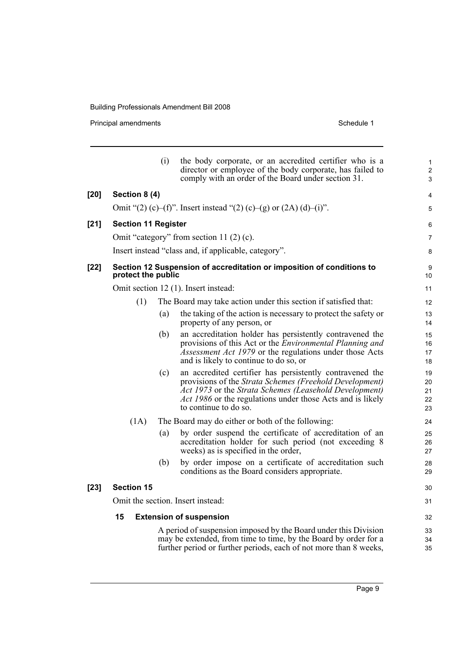Principal amendments **Schedule 1** Schedule 1

|        |                            | (i) | the body corporate, or an accredited certifier who is a<br>director or employee of the body corporate, has failed to<br>comply with an order of the Board under section 31.                                                                                          | 1<br>$\overline{2}$<br>3   |
|--------|----------------------------|-----|----------------------------------------------------------------------------------------------------------------------------------------------------------------------------------------------------------------------------------------------------------------------|----------------------------|
| $[20]$ | Section 8 (4)              |     |                                                                                                                                                                                                                                                                      | 4                          |
|        |                            |     | Omit "(2) (c)–(f)". Insert instead "(2) (c)–(g) or $(2A)$ (d)–(i)".                                                                                                                                                                                                  | 5                          |
| $[21]$ | <b>Section 11 Register</b> |     |                                                                                                                                                                                                                                                                      | 6                          |
|        |                            |     | Omit "category" from section 11 $(2)$ $(c)$ .                                                                                                                                                                                                                        | 7                          |
|        |                            |     | Insert instead "class and, if applicable, category".                                                                                                                                                                                                                 | 8                          |
| $[22]$ | protect the public         |     | Section 12 Suspension of accreditation or imposition of conditions to                                                                                                                                                                                                | 9<br>10                    |
|        |                            |     | Omit section 12 (1). Insert instead:                                                                                                                                                                                                                                 | 11                         |
|        | (1)                        |     | The Board may take action under this section if satisfied that:                                                                                                                                                                                                      | 12                         |
|        |                            | (a) | the taking of the action is necessary to protect the safety or<br>property of any person, or                                                                                                                                                                         | 13<br>14                   |
|        |                            | (b) | an accreditation holder has persistently contravened the<br>provisions of this Act or the <i>Environmental Planning and</i><br><i>Assessment Act 1979</i> or the regulations under those Acts<br>and is likely to continue to do so, or                              | 15<br>16<br>17<br>18       |
|        |                            | (c) | an accredited certifier has persistently contravened the<br>provisions of the Strata Schemes (Freehold Development)<br>Act 1973 or the Strata Schemes (Leasehold Development)<br>Act 1986 or the regulations under those Acts and is likely<br>to continue to do so. | 19<br>20<br>21<br>22<br>23 |
|        | (1A)                       |     | The Board may do either or both of the following:                                                                                                                                                                                                                    | 24                         |
|        |                            | (a) | by order suspend the certificate of accreditation of an<br>accreditation holder for such period (not exceeding 8<br>weeks) as is specified in the order,                                                                                                             | 25<br>26<br>27             |
|        |                            | (b) | by order impose on a certificate of accreditation such<br>conditions as the Board considers appropriate.                                                                                                                                                             | 28<br>29                   |
| $[23]$ | <b>Section 15</b>          |     |                                                                                                                                                                                                                                                                      | 30                         |
|        |                            |     | Omit the section. Insert instead:                                                                                                                                                                                                                                    | 31                         |
|        | 15                         |     | <b>Extension of suspension</b>                                                                                                                                                                                                                                       | 32                         |
|        |                            |     | A period of suspension imposed by the Board under this Division                                                                                                                                                                                                      | 33                         |
|        |                            |     | may be extended, from time to time, by the Board by order for a<br>further period or further periods, each of not more than 8 weeks,                                                                                                                                 | 34<br>35                   |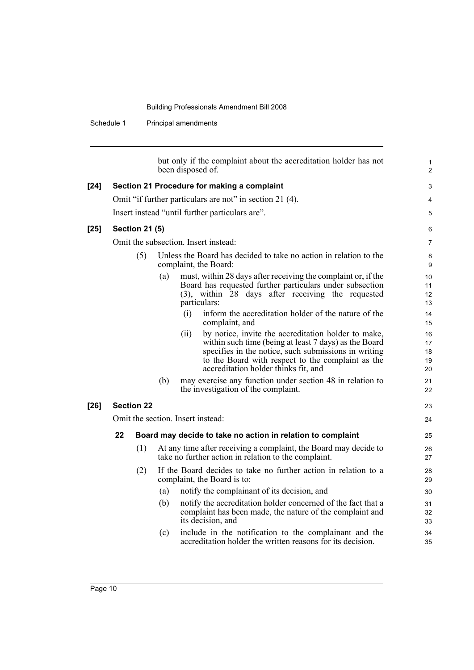Schedule 1 Principal amendments

|        |    |                       |     | been disposed of.                 | but only if the complaint about the accreditation holder has not                                                                                                                                                                                                  | 1<br>$\overline{2}$               |
|--------|----|-----------------------|-----|-----------------------------------|-------------------------------------------------------------------------------------------------------------------------------------------------------------------------------------------------------------------------------------------------------------------|-----------------------------------|
| $[24]$ |    |                       |     |                                   | Section 21 Procedure for making a complaint                                                                                                                                                                                                                       | 3                                 |
|        |    |                       |     |                                   | Omit "if further particulars are not" in section 21 (4).                                                                                                                                                                                                          | $\overline{4}$                    |
|        |    |                       |     |                                   | Insert instead "until further particulars are".                                                                                                                                                                                                                   | 5                                 |
| [25]   |    | <b>Section 21 (5)</b> |     |                                   |                                                                                                                                                                                                                                                                   | 6                                 |
|        |    |                       |     |                                   | Omit the subsection. Insert instead:                                                                                                                                                                                                                              | $\overline{7}$                    |
|        |    | (5)                   |     |                                   | Unless the Board has decided to take no action in relation to the<br>complaint, the Board:                                                                                                                                                                        | 8<br>9                            |
|        |    |                       | (a) | particulars:                      | must, within 28 days after receiving the complaint or, if the<br>Board has requested further particulars under subsection<br>(3), within 28 days after receiving the requested                                                                                    | 10<br>11<br>12 <sup>2</sup><br>13 |
|        |    |                       |     | (i)                               | inform the accreditation holder of the nature of the<br>complaint, and                                                                                                                                                                                            | 14<br>15                          |
|        |    |                       |     | (ii)                              | by notice, invite the accreditation holder to make,<br>within such time (being at least 7 days) as the Board<br>specifies in the notice, such submissions in writing<br>to the Board with respect to the complaint as the<br>accreditation holder thinks fit, and | 16<br>17<br>18<br>19<br>20        |
|        |    |                       | (b) |                                   | may exercise any function under section 48 in relation to<br>the investigation of the complaint.                                                                                                                                                                  | 21<br>22                          |
| $[26]$ |    | <b>Section 22</b>     |     |                                   |                                                                                                                                                                                                                                                                   | 23                                |
|        |    |                       |     | Omit the section. Insert instead: |                                                                                                                                                                                                                                                                   | 24                                |
|        | 22 |                       |     |                                   | Board may decide to take no action in relation to complaint                                                                                                                                                                                                       | 25                                |
|        |    | (1)                   |     |                                   | At any time after receiving a complaint, the Board may decide to<br>take no further action in relation to the complaint.                                                                                                                                          | 26<br>27                          |
|        |    | (2)                   |     |                                   | If the Board decides to take no further action in relation to a<br>complaint, the Board is to:                                                                                                                                                                    | 28<br>29                          |
|        |    |                       | (a) |                                   | notify the complainant of its decision, and                                                                                                                                                                                                                       | 30                                |
|        |    |                       | (b) |                                   | notify the accreditation holder concerned of the fact that a<br>complaint has been made, the nature of the complaint and<br>its decision, and                                                                                                                     | 31<br>32<br>33                    |
|        |    |                       | (c) |                                   | include in the notification to the complainant and the<br>accreditation holder the written reasons for its decision.                                                                                                                                              | 34<br>35                          |
|        |    |                       |     |                                   |                                                                                                                                                                                                                                                                   |                                   |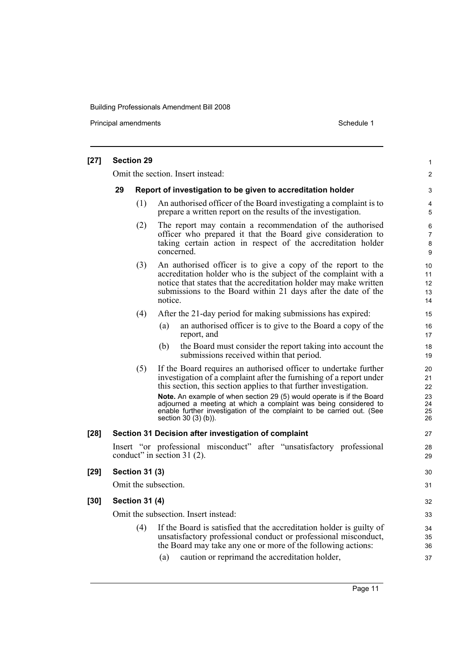Principal amendments **Schedule 1** Schedule 1

| $[27]$ |                                                                   | <b>Section 29</b>     |                                                                                                                                                                                                                                                                                                                                                                                                                                                            | $\mathbf{1}$                           |  |  |  |
|--------|-------------------------------------------------------------------|-----------------------|------------------------------------------------------------------------------------------------------------------------------------------------------------------------------------------------------------------------------------------------------------------------------------------------------------------------------------------------------------------------------------------------------------------------------------------------------------|----------------------------------------|--|--|--|
|        | Omit the section. Insert instead:                                 |                       |                                                                                                                                                                                                                                                                                                                                                                                                                                                            |                                        |  |  |  |
|        | 29<br>Report of investigation to be given to accreditation holder |                       |                                                                                                                                                                                                                                                                                                                                                                                                                                                            |                                        |  |  |  |
|        |                                                                   | (1)                   | An authorised officer of the Board investigating a complaint is to<br>prepare a written report on the results of the investigation.                                                                                                                                                                                                                                                                                                                        | 4<br>5                                 |  |  |  |
|        |                                                                   | (2)                   | The report may contain a recommendation of the authorised<br>officer who prepared it that the Board give consideration to<br>taking certain action in respect of the accreditation holder<br>concerned.                                                                                                                                                                                                                                                    | 6<br>$\overline{7}$<br>8<br>9          |  |  |  |
|        |                                                                   | (3)                   | An authorised officer is to give a copy of the report to the<br>accreditation holder who is the subject of the complaint with a<br>notice that states that the accreditation holder may make written<br>submissions to the Board within 21 days after the date of the<br>notice.                                                                                                                                                                           | 10<br>11<br>12<br>13<br>14             |  |  |  |
|        |                                                                   | (4)                   | After the 21-day period for making submissions has expired:                                                                                                                                                                                                                                                                                                                                                                                                | 15                                     |  |  |  |
|        |                                                                   |                       | an authorised officer is to give to the Board a copy of the<br>(a)<br>report, and                                                                                                                                                                                                                                                                                                                                                                          | 16<br>17                               |  |  |  |
|        |                                                                   |                       | (b)<br>the Board must consider the report taking into account the<br>submissions received within that period.                                                                                                                                                                                                                                                                                                                                              | 18<br>19                               |  |  |  |
|        |                                                                   | (5)                   | If the Board requires an authorised officer to undertake further<br>investigation of a complaint after the furnishing of a report under<br>this section, this section applies to that further investigation.<br>Note. An example of when section 29 (5) would operate is if the Board<br>adjourned a meeting at which a complaint was being considered to<br>enable further investigation of the complaint to be carried out. (See<br>section 30 (3) (b)). | 20<br>21<br>22<br>23<br>24<br>25<br>26 |  |  |  |
| $[28]$ |                                                                   |                       | Section 31 Decision after investigation of complaint                                                                                                                                                                                                                                                                                                                                                                                                       | 27                                     |  |  |  |
|        |                                                                   |                       | Insert "or professional misconduct" after "unsatisfactory professional<br>conduct" in section 31 (2).                                                                                                                                                                                                                                                                                                                                                      | 28<br>29                               |  |  |  |
| $[29]$ |                                                                   | <b>Section 31 (3)</b> |                                                                                                                                                                                                                                                                                                                                                                                                                                                            | 30                                     |  |  |  |
|        |                                                                   |                       | Omit the subsection.                                                                                                                                                                                                                                                                                                                                                                                                                                       | 31                                     |  |  |  |
| $[30]$ |                                                                   | <b>Section 31 (4)</b> |                                                                                                                                                                                                                                                                                                                                                                                                                                                            | 32                                     |  |  |  |
|        |                                                                   |                       | Omit the subsection. Insert instead:                                                                                                                                                                                                                                                                                                                                                                                                                       | 33                                     |  |  |  |
|        |                                                                   | (4)                   | If the Board is satisfied that the accreditation holder is guilty of<br>unsatisfactory professional conduct or professional misconduct,<br>the Board may take any one or more of the following actions:                                                                                                                                                                                                                                                    | 34<br>35<br>36                         |  |  |  |
|        |                                                                   |                       | caution or reprimand the accreditation holder,<br>(a)                                                                                                                                                                                                                                                                                                                                                                                                      | 37                                     |  |  |  |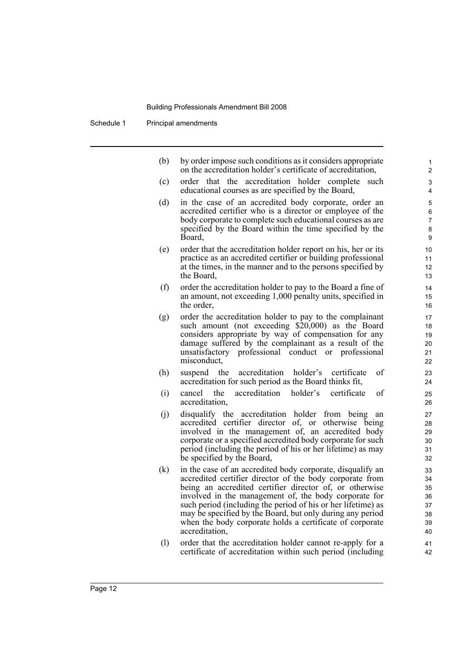Schedule 1 Principal amendments

| (b) | by order impose such conditions as it considers appropriate |
|-----|-------------------------------------------------------------|
|     | on the accreditation holder's certificate of accreditation, |

- (c) order that the accreditation holder complete such educational courses as are specified by the Board,
- (d) in the case of an accredited body corporate, order an accredited certifier who is a director or employee of the body corporate to complete such educational courses as are specified by the Board within the time specified by the Board,
- (e) order that the accreditation holder report on his, her or its practice as an accredited certifier or building professional at the times, in the manner and to the persons specified by the Board,
- (f) order the accreditation holder to pay to the Board a fine of an amount, not exceeding 1,000 penalty units, specified in the order,
- (g) order the accreditation holder to pay to the complainant such amount (not exceeding \$20,000) as the Board considers appropriate by way of compensation for any damage suffered by the complainant as a result of the unsatisfactory professional conduct or professional misconduct,
- (h) suspend the accreditation holder's certificate of accreditation for such period as the Board thinks fit,
- (i) cancel the accreditation holder's certificate of accreditation,
- (j) disqualify the accreditation holder from being an accredited certifier director of, or otherwise being involved in the management of, an accredited body corporate or a specified accredited body corporate for such period (including the period of his or her lifetime) as may be specified by the Board,
- (k) in the case of an accredited body corporate, disqualify an accredited certifier director of the body corporate from being an accredited certifier director of, or otherwise involved in the management of, the body corporate for such period (including the period of his or her lifetime) as may be specified by the Board, but only during any period when the body corporate holds a certificate of corporate accreditation,
- (l) order that the accreditation holder cannot re-apply for a certificate of accreditation within such period (including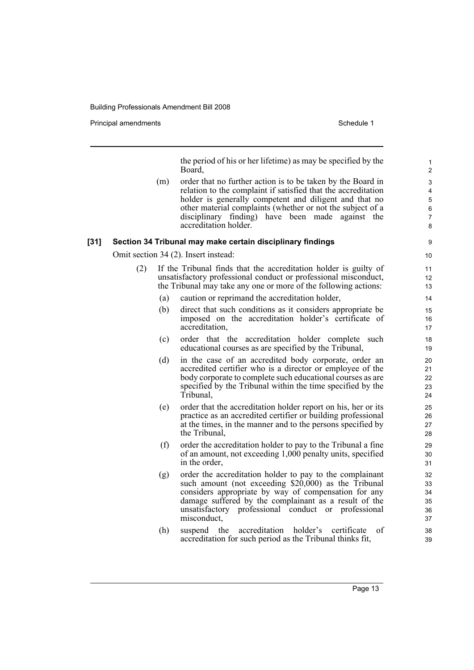Principal amendments **Schedule 1** and the set of the set of the Schedule 1 and the Schedule 1

the period of his or her lifetime) as may be specified by the Board,

(m) order that no further action is to be taken by the Board in relation to the complaint if satisfied that the accreditation holder is generally competent and diligent and that no other material complaints (whether or not the subject of a disciplinary finding) have been made against the accreditation holder.

#### **[31] Section 34 Tribunal may make certain disciplinary findings**

Omit section 34 (2). Insert instead:

- (2) If the Tribunal finds that the accreditation holder is guilty of unsatisfactory professional conduct or professional misconduct, the Tribunal may take any one or more of the following actions:
	- (a) caution or reprimand the accreditation holder,
	- (b) direct that such conditions as it considers appropriate be imposed on the accreditation holder's certificate of accreditation,
	- (c) order that the accreditation holder complete such educational courses as are specified by the Tribunal,
	- (d) in the case of an accredited body corporate, order an accredited certifier who is a director or employee of the body corporate to complete such educational courses as are specified by the Tribunal within the time specified by the Tribunal,
	- (e) order that the accreditation holder report on his, her or its practice as an accredited certifier or building professional at the times, in the manner and to the persons specified by the Tribunal,
	- (f) order the accreditation holder to pay to the Tribunal a fine of an amount, not exceeding 1,000 penalty units, specified in the order,
	- (g) order the accreditation holder to pay to the complainant such amount (not exceeding  $$20,000$ ) as the Tribunal considers appropriate by way of compensation for any damage suffered by the complainant as a result of the unsatisfactory professional conduct or professional misconduct,
	- (h) suspend the accreditation holder's certificate of accreditation for such period as the Tribunal thinks fit,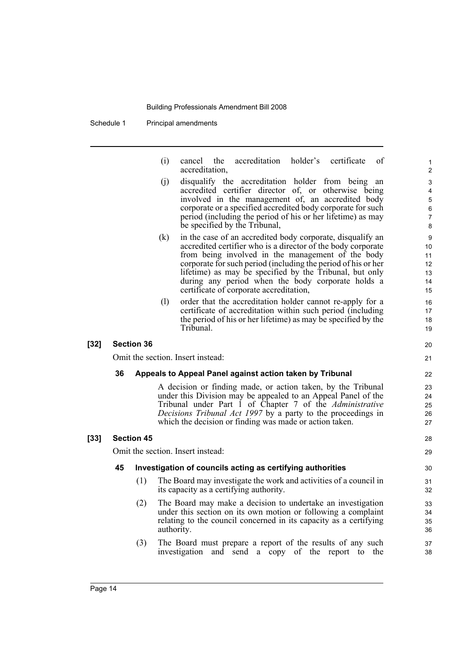Schedule 1 Principal amendments

| (i) |                | cancel the accreditation holder's certificate of |  |  |
|-----|----------------|--------------------------------------------------|--|--|
|     | accreditation, |                                                  |  |  |

- (j) disqualify the accreditation holder from being an accredited certifier director of, or otherwise being involved in the management of, an accredited body corporate or a specified accredited body corporate for such period (including the period of his or her lifetime) as may be specified by the Tribunal,
- (k) in the case of an accredited body corporate, disqualify an accredited certifier who is a director of the body corporate from being involved in the management of the body corporate for such period (including the period of his or her lifetime) as may be specified by the Tribunal, but only during any period when the body corporate holds a certificate of corporate accreditation,
- (l) order that the accreditation holder cannot re-apply for a certificate of accreditation within such period (including the period of his or her lifetime) as may be specified by the Tribunal.

#### **[32] Section 36**

Omit the section. Insert instead:

#### **36 Appeals to Appeal Panel against action taken by Tribunal**

A decision or finding made, or action taken, by the Tribunal under this Division may be appealed to an Appeal Panel of the Tribunal under Part 1 of Chapter 7 of the *Administrative Decisions Tribunal Act 1997* by a party to the proceedings in which the decision or finding was made or action taken.

### **[33] Section 45**

Omit the section. Insert instead:

#### **45 Investigation of councils acting as certifying authorities**

- (1) The Board may investigate the work and activities of a council in its capacity as a certifying authority.
- (2) The Board may make a decision to undertake an investigation under this section on its own motion or following a complaint relating to the council concerned in its capacity as a certifying authority.
- (3) The Board must prepare a report of the results of any such investigation and send a copy of the report to the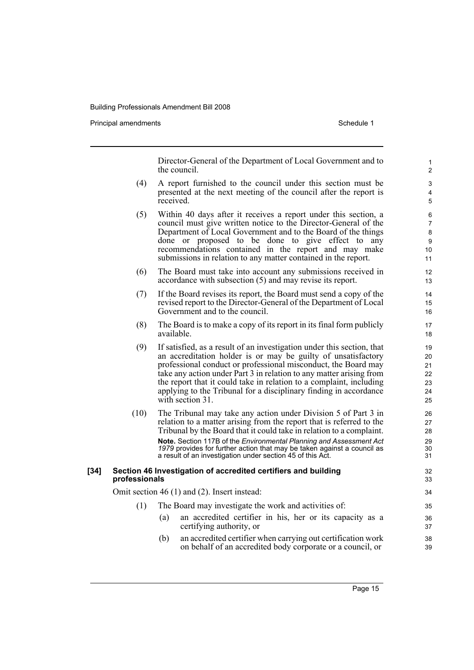Principal amendments **Schedule 1** and the set of the set of the Schedule 1 and the Schedule 1

Director-General of the Department of Local Government and to the council. (4) A report furnished to the council under this section must be presented at the next meeting of the council after the report is received. (5) Within 40 days after it receives a report under this section, a council must give written notice to the Director-General of the Department of Local Government and to the Board of the things done or proposed to be done to give effect to any recommendations contained in the report and may make submissions in relation to any matter contained in the report. (6) The Board must take into account any submissions received in accordance with subsection (5) and may revise its report. (7) If the Board revises its report, the Board must send a copy of the revised report to the Director-General of the Department of Local Government and to the council. (8) The Board is to make a copy of its report in its final form publicly available. (9) If satisfied, as a result of an investigation under this section, that an accreditation holder is or may be guilty of unsatisfactory professional conduct or professional misconduct, the Board may take any action under Part 3 in relation to any matter arising from the report that it could take in relation to a complaint, including applying to the Tribunal for a disciplinary finding in accordance with section 31. (10) The Tribunal may take any action under Division 5 of Part 3 in relation to a matter arising from the report that is referred to the Tribunal by the Board that it could take in relation to a complaint. **Note.** Section 117B of the *Environmental Planning and Assessment Act 1979* provides for further action that may be taken against a council as a result of an investigation under section 45 of this Act. **[34] Section 46 Investigation of accredited certifiers and building professionals** Omit section 46 (1) and (2). Insert instead: (1) The Board may investigate the work and activities of: (a) an accredited certifier in his, her or its capacity as a certifying authority, or (b) an accredited certifier when carrying out certification work on behalf of an accredited body corporate or a council, or 1  $\overline{2}$ 3 4 5 6 7 8 9 10 11 12 13 14 15 16 17 18 19  $20$ 21  $22$ 23 24 25 26 27 28 29 30 31 32 33 34 35 36 37 38 39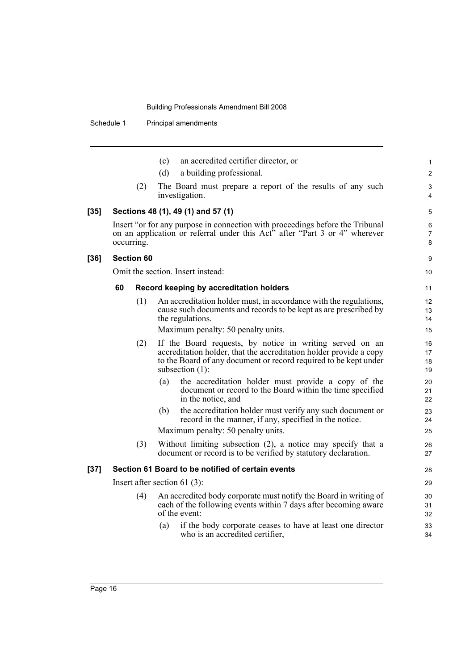Schedule 1 Principal amendments

|        |    |                   | an accredited certifier director, or<br>(c)                                                                                                                                                                              | $\mathbf{1}$             |
|--------|----|-------------------|--------------------------------------------------------------------------------------------------------------------------------------------------------------------------------------------------------------------------|--------------------------|
|        |    |                   | a building professional.<br>(d)                                                                                                                                                                                          | $\overline{2}$           |
|        |    | (2)               | The Board must prepare a report of the results of any such<br>investigation.                                                                                                                                             | 3<br>4                   |
| $[35]$ |    |                   | Sections 48 (1), 49 (1) and 57 (1)                                                                                                                                                                                       | 5                        |
|        |    | occurring.        | Insert "or for any purpose in connection with proceedings before the Tribunal<br>on an application or referral under this Act <sup>7</sup> after "Part 3 or 4" wherever                                                  | 6<br>$\overline{7}$<br>8 |
| $[36]$ |    | <b>Section 60</b> |                                                                                                                                                                                                                          | 9                        |
|        |    |                   | Omit the section. Insert instead:                                                                                                                                                                                        | 10                       |
|        | 60 |                   | Record keeping by accreditation holders                                                                                                                                                                                  | 11                       |
|        |    | (1)               | An accreditation holder must, in accordance with the regulations,<br>cause such documents and records to be kept as are prescribed by<br>the regulations.                                                                | 12<br>13<br>14           |
|        |    |                   | Maximum penalty: 50 penalty units.                                                                                                                                                                                       | 15                       |
|        |    | (2)               | If the Board requests, by notice in writing served on an<br>accreditation holder, that the accreditation holder provide a copy<br>to the Board of any document or record required to be kept under<br>subsection $(1)$ : | 16<br>17<br>18<br>19     |
|        |    |                   | the accreditation holder must provide a copy of the<br>(a)<br>document or record to the Board within the time specified<br>in the notice, and                                                                            | 20<br>21<br>22           |
|        |    |                   | the accreditation holder must verify any such document or<br>(b)<br>record in the manner, if any, specified in the notice.                                                                                               | 23<br>24                 |
|        |    |                   | Maximum penalty: 50 penalty units.                                                                                                                                                                                       | 25                       |
|        |    | (3)               | Without limiting subsection $(2)$ , a notice may specify that a<br>document or record is to be verified by statutory declaration.                                                                                        | 26<br>27                 |
| $[37]$ |    |                   | Section 61 Board to be notified of certain events                                                                                                                                                                        | 28                       |
|        |    |                   | Insert after section 61 $(3)$ :                                                                                                                                                                                          | 29                       |
|        |    | (4)               | An accredited body corporate must notify the Board in writing of<br>each of the following events within 7 days after becoming aware<br>of the event:                                                                     | 30<br>31<br>32           |
|        |    |                   | if the body corporate ceases to have at least one director<br>(a)<br>who is an accredited certifier,                                                                                                                     | 33<br>34                 |
|        |    |                   |                                                                                                                                                                                                                          |                          |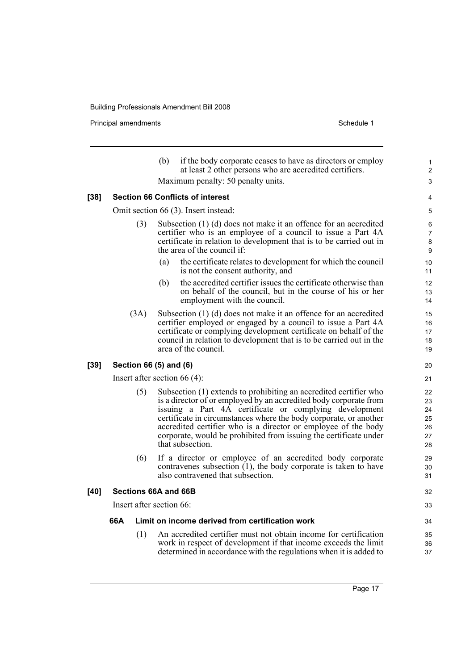Principal amendments **Schedule 1** Schedule 1

|        |                                         |      | if the body corporate ceases to have as directors or employ<br>(b)<br>at least 2 other persons who are accredited certifiers.                                                                                                                                                                                                                                                                                                    | $\mathbf{1}$<br>$\overline{2}$         |  |  |
|--------|-----------------------------------------|------|----------------------------------------------------------------------------------------------------------------------------------------------------------------------------------------------------------------------------------------------------------------------------------------------------------------------------------------------------------------------------------------------------------------------------------|----------------------------------------|--|--|
|        | Maximum penalty: 50 penalty units.      |      |                                                                                                                                                                                                                                                                                                                                                                                                                                  |                                        |  |  |
| $[38]$ | <b>Section 66 Conflicts of interest</b> |      |                                                                                                                                                                                                                                                                                                                                                                                                                                  |                                        |  |  |
|        | Omit section 66 (3). Insert instead:    |      |                                                                                                                                                                                                                                                                                                                                                                                                                                  |                                        |  |  |
|        |                                         | (3)  | Subsection (1) (d) does not make it an offence for an accredited<br>certifier who is an employee of a council to issue a Part 4A<br>certificate in relation to development that is to be carried out in<br>the area of the council if:                                                                                                                                                                                           | 6<br>$\overline{7}$<br>8<br>9          |  |  |
|        |                                         |      | the certificate relates to development for which the council<br>(a)<br>is not the consent authority, and                                                                                                                                                                                                                                                                                                                         | 10<br>11                               |  |  |
|        |                                         |      | (b)<br>the accredited certifier issues the certificate otherwise than<br>on behalf of the council, but in the course of his or her<br>employment with the council.                                                                                                                                                                                                                                                               | 12<br>13<br>14                         |  |  |
|        |                                         | (3A) | Subsection (1) (d) does not make it an offence for an accredited<br>certifier employed or engaged by a council to issue a Part 4A<br>certificate or complying development certificate on behalf of the<br>council in relation to development that is to be carried out in the<br>area of the council.                                                                                                                            | 15<br>16<br>17<br>18<br>19             |  |  |
| $[39]$ |                                         |      | Section 66 (5) and (6)                                                                                                                                                                                                                                                                                                                                                                                                           | 20                                     |  |  |
|        |                                         |      | Insert after section 66 $(4)$ :                                                                                                                                                                                                                                                                                                                                                                                                  | 21                                     |  |  |
|        |                                         | (5)  | Subsection (1) extends to prohibiting an accredited certifier who<br>is a director of or employed by an accredited body corporate from<br>issuing a Part 4A certificate or complying development<br>certificate in circumstances where the body corporate, or another<br>accredited certifier who is a director or employee of the body<br>corporate, would be prohibited from issuing the certificate under<br>that subsection. | 22<br>23<br>24<br>25<br>26<br>27<br>28 |  |  |
|        |                                         | (6)  | If a director or employee of an accredited body corporate<br>contravenes subsection $(1)$ , the body corporate is taken to have<br>also contravened that subsection.                                                                                                                                                                                                                                                             | 29<br>30<br>31                         |  |  |
| [40]   |                                         |      | Sections 66A and 66B                                                                                                                                                                                                                                                                                                                                                                                                             | 32                                     |  |  |
|        |                                         |      | Insert after section 66:                                                                                                                                                                                                                                                                                                                                                                                                         | 33                                     |  |  |
|        | 66A                                     |      | Limit on income derived from certification work                                                                                                                                                                                                                                                                                                                                                                                  | 34                                     |  |  |
|        |                                         | (1)  | An accredited certifier must not obtain income for certification<br>work in respect of development if that income exceeds the limit<br>determined in accordance with the regulations when it is added to                                                                                                                                                                                                                         | 35<br>36<br>37                         |  |  |
|        |                                         |      |                                                                                                                                                                                                                                                                                                                                                                                                                                  |                                        |  |  |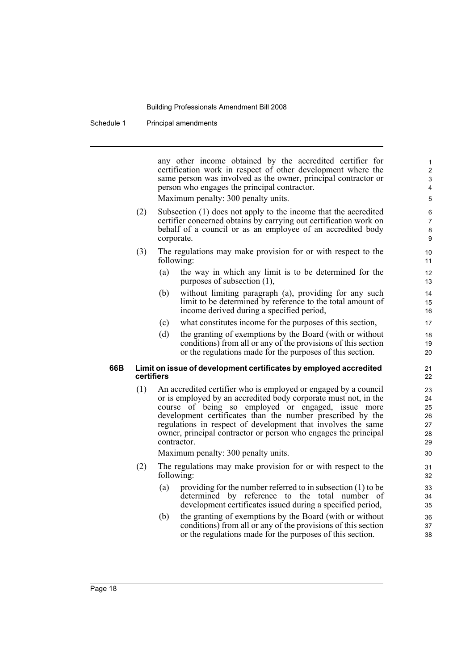Schedule 1 Principal amendments

any other income obtained by the accredited certifier for certification work in respect of other development where the same person was involved as the owner, principal contractor or person who engages the principal contractor.

Maximum penalty: 300 penalty units.

- (2) Subsection (1) does not apply to the income that the accredited certifier concerned obtains by carrying out certification work on behalf of a council or as an employee of an accredited body corporate.
- (3) The regulations may make provision for or with respect to the following:
	- (a) the way in which any limit is to be determined for the purposes of subsection (1),
	- (b) without limiting paragraph (a), providing for any such limit to be determined by reference to the total amount of income derived during a specified period,
	- (c) what constitutes income for the purposes of this section,
	- (d) the granting of exemptions by the Board (with or without conditions) from all or any of the provisions of this section or the regulations made for the purposes of this section.

#### **66B Limit on issue of development certificates by employed accredited certifiers**

(1) An accredited certifier who is employed or engaged by a council or is employed by an accredited body corporate must not, in the course of being so employed or engaged, issue more development certificates than the number prescribed by the regulations in respect of development that involves the same owner, principal contractor or person who engages the principal contractor.

Maximum penalty: 300 penalty units.

- (2) The regulations may make provision for or with respect to the following:
	- (a) providing for the number referred to in subsection (1) to be determined by reference to the total number of development certificates issued during a specified period,
	- (b) the granting of exemptions by the Board (with or without conditions) from all or any of the provisions of this section or the regulations made for the purposes of this section.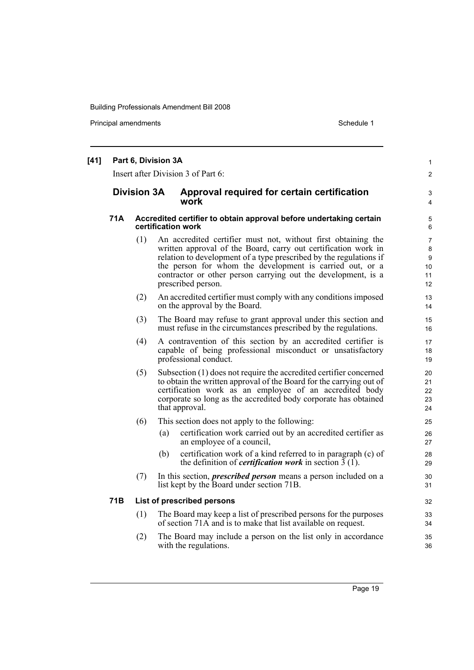Principal amendments **Schedule 1** Schedule 1

| [41] | Part 6, Division 3A<br>Insert after Division 3 of Part 6:<br><b>Division 3A</b><br>Approval required for certain certification<br>work |                                                                                          |                                                                                                                                                                                                                                                                                                                                                          |                                            |  |  |
|------|----------------------------------------------------------------------------------------------------------------------------------------|------------------------------------------------------------------------------------------|----------------------------------------------------------------------------------------------------------------------------------------------------------------------------------------------------------------------------------------------------------------------------------------------------------------------------------------------------------|--------------------------------------------|--|--|
|      |                                                                                                                                        |                                                                                          |                                                                                                                                                                                                                                                                                                                                                          |                                            |  |  |
|      | 71A                                                                                                                                    | Accredited certifier to obtain approval before undertaking certain<br>certification work |                                                                                                                                                                                                                                                                                                                                                          |                                            |  |  |
|      |                                                                                                                                        | (1)                                                                                      | An accredited certifier must not, without first obtaining the<br>written approval of the Board, carry out certification work in<br>relation to development of a type prescribed by the regulations if<br>the person for whom the development is carried out, or a<br>contractor or other person carrying out the development, is a<br>prescribed person. | $\overline{7}$<br>8<br>9<br>10<br>11<br>12 |  |  |
|      |                                                                                                                                        | (2)                                                                                      | An accredited certifier must comply with any conditions imposed<br>on the approval by the Board.                                                                                                                                                                                                                                                         | 13<br>14                                   |  |  |
|      |                                                                                                                                        | (3)                                                                                      | The Board may refuse to grant approval under this section and<br>must refuse in the circumstances prescribed by the regulations.                                                                                                                                                                                                                         | 15<br>16                                   |  |  |
|      |                                                                                                                                        | (4)                                                                                      | A contravention of this section by an accredited certifier is<br>capable of being professional misconduct or unsatisfactory<br>professional conduct.                                                                                                                                                                                                     | 17<br>18<br>19                             |  |  |
|      |                                                                                                                                        | (5)                                                                                      | Subsection (1) does not require the accredited certifier concerned<br>to obtain the written approval of the Board for the carrying out of<br>certification work as an employee of an accredited body<br>corporate so long as the accredited body corporate has obtained<br>that approval.                                                                | 20<br>21<br>22<br>23<br>24                 |  |  |
|      |                                                                                                                                        | (6)                                                                                      | This section does not apply to the following:                                                                                                                                                                                                                                                                                                            | 25                                         |  |  |
|      |                                                                                                                                        |                                                                                          | certification work carried out by an accredited certifier as<br>(a)<br>an employee of a council,                                                                                                                                                                                                                                                         | 26<br>27                                   |  |  |
|      |                                                                                                                                        |                                                                                          | certification work of a kind referred to in paragraph (c) of<br>(b)<br>the definition of <i>certification work</i> in section $\overline{3}$ (1).                                                                                                                                                                                                        | 28<br>29                                   |  |  |
|      |                                                                                                                                        | (7)                                                                                      | In this section, <i>prescribed person</i> means a person included on a<br>list kept by the Board under section 71B.                                                                                                                                                                                                                                      | 30<br>31                                   |  |  |
|      | 71B                                                                                                                                    |                                                                                          | List of prescribed persons                                                                                                                                                                                                                                                                                                                               | 32                                         |  |  |
|      |                                                                                                                                        | (1)                                                                                      | The Board may keep a list of prescribed persons for the purposes<br>of section 71A and is to make that list available on request.                                                                                                                                                                                                                        | 33<br>34                                   |  |  |
|      |                                                                                                                                        | (2)                                                                                      | The Board may include a person on the list only in accordance<br>with the regulations.                                                                                                                                                                                                                                                                   | 35<br>36                                   |  |  |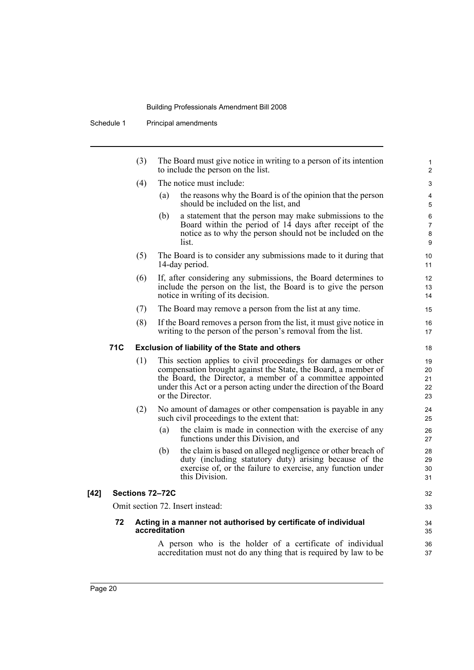Schedule 1 Principal amendments

|        |            | (3) | The Board must give notice in writing to a person of its intention<br>to include the person on the list.                                                                                                                                                                                 | 1<br>2                        |
|--------|------------|-----|------------------------------------------------------------------------------------------------------------------------------------------------------------------------------------------------------------------------------------------------------------------------------------------|-------------------------------|
|        |            | (4) | The notice must include:                                                                                                                                                                                                                                                                 | 3                             |
|        |            |     | the reasons why the Board is of the opinion that the person<br>(a)<br>should be included on the list, and                                                                                                                                                                                | 4<br>5                        |
|        |            |     | a statement that the person may make submissions to the<br>(b)<br>Board within the period of 14 days after receipt of the<br>notice as to why the person should not be included on the<br>list.                                                                                          | 6<br>$\overline{7}$<br>8<br>9 |
|        |            | (5) | The Board is to consider any submissions made to it during that<br>14-day period.                                                                                                                                                                                                        | 10<br>11                      |
|        |            | (6) | If, after considering any submissions, the Board determines to<br>include the person on the list, the Board is to give the person<br>notice in writing of its decision.                                                                                                                  | 12<br>13<br>14                |
|        |            | (7) | The Board may remove a person from the list at any time.                                                                                                                                                                                                                                 | 15                            |
|        |            | (8) | If the Board removes a person from the list, it must give notice in<br>writing to the person of the person's removal from the list.                                                                                                                                                      | 16<br>17                      |
|        | <b>71C</b> |     | <b>Exclusion of liability of the State and others</b>                                                                                                                                                                                                                                    | 18                            |
|        |            | (1) | This section applies to civil proceedings for damages or other<br>compensation brought against the State, the Board, a member of<br>the Board, the Director, a member of a committee appointed<br>under this Act or a person acting under the direction of the Board<br>or the Director. | 19<br>20<br>21<br>22<br>23    |
|        |            | (2) | No amount of damages or other compensation is payable in any<br>such civil proceedings to the extent that:                                                                                                                                                                               | 24<br>25                      |
|        |            |     | (a)<br>the claim is made in connection with the exercise of any<br>functions under this Division, and                                                                                                                                                                                    | 26<br>27                      |
|        |            |     | the claim is based on alleged negligence or other breach of<br>(b)<br>duty (including statutory duty) arising because of the<br>exercise of, or the failure to exercise, any function under<br>this Division.                                                                            | 28<br>29<br>30<br>31          |
| $[42]$ |            |     | Sections 72-72C                                                                                                                                                                                                                                                                          | 32                            |
|        |            |     | Omit section 72. Insert instead:                                                                                                                                                                                                                                                         | 33                            |
|        | 72         |     | Acting in a manner not authorised by certificate of individual<br>accreditation                                                                                                                                                                                                          | 34<br>35                      |
|        |            |     | A person who is the holder of a certificate of individual<br>accreditation must not do any thing that is required by law to be                                                                                                                                                           | 36<br>37                      |
|        |            |     |                                                                                                                                                                                                                                                                                          |                               |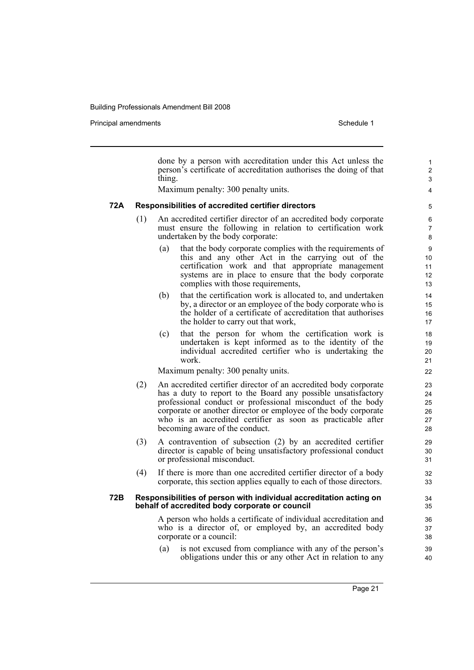Principal amendments **Schedule 1** Schedule 1

|     |     | done by a person with accreditation under this Act unless the<br>person's certificate of accreditation authorises the doing of that      | $\mathbf{1}$<br>$\overline{\mathbf{c}}$ |
|-----|-----|------------------------------------------------------------------------------------------------------------------------------------------|-----------------------------------------|
|     |     | thing.<br>Maximum penalty: 300 penalty units.                                                                                            | 3<br>4                                  |
|     |     |                                                                                                                                          |                                         |
| 72A |     | Responsibilities of accredited certifier directors                                                                                       | 5                                       |
|     | (1) | An accredited certifier director of an accredited body corporate                                                                         | 6                                       |
|     |     | must ensure the following in relation to certification work<br>undertaken by the body corporate:                                         | $\overline{7}$<br>8                     |
|     |     | that the body corporate complies with the requirements of<br>(a)                                                                         | 9                                       |
|     |     | this and any other Act in the carrying out of the<br>certification work and that appropriate management                                  | 10<br>11                                |
|     |     | systems are in place to ensure that the body corporate                                                                                   | 12                                      |
|     |     | complies with those requirements,                                                                                                        | 13                                      |
|     |     | that the certification work is allocated to, and undertaken<br>(b)                                                                       | 14                                      |
|     |     | by, a director or an employee of the body corporate who is<br>the holder of a certificate of accreditation that authorises               | 15<br>16                                |
|     |     | the holder to carry out that work,                                                                                                       | 17                                      |
|     |     | that the person for whom the certification work is<br>(c)                                                                                | 18                                      |
|     |     | undertaken is kept informed as to the identity of the                                                                                    | 19                                      |
|     |     | individual accredited certifier who is undertaking the<br>work.                                                                          | 20<br>21                                |
|     |     | Maximum penalty: 300 penalty units.                                                                                                      | 22                                      |
|     | (2) | An accredited certifier director of an accredited body corporate                                                                         | 23                                      |
|     |     | has a duty to report to the Board any possible unsatisfactory                                                                            | 24                                      |
|     |     | professional conduct or professional misconduct of the body<br>corporate or another director or employee of the body corporate           | 25<br>26                                |
|     |     | who is an accredited certifier as soon as practicable after                                                                              | 27                                      |
|     |     | becoming aware of the conduct.                                                                                                           | 28                                      |
|     | (3) | A contravention of subsection (2) by an accredited certifier                                                                             | 29                                      |
|     |     | director is capable of being unsatisfactory professional conduct                                                                         | 30                                      |
|     |     | or professional misconduct.                                                                                                              | 31                                      |
|     | (4) | If there is more than one accredited certifier director of a body<br>corporate, this section applies equally to each of those directors. | 32<br>33                                |
| 72B |     | Responsibilities of person with individual accreditation acting on<br>behalf of accredited body corporate or council                     | 34<br>35                                |
|     |     | A person who holds a certificate of individual accreditation and                                                                         | 36                                      |
|     |     | who is a director of, or employed by, an accredited body                                                                                 | 37                                      |
|     |     | corporate or a council:                                                                                                                  | 38                                      |
|     |     | is not excused from compliance with any of the person's<br>(a)<br>obligations under this or any other Act in relation to any             | 39<br>40                                |
|     |     |                                                                                                                                          |                                         |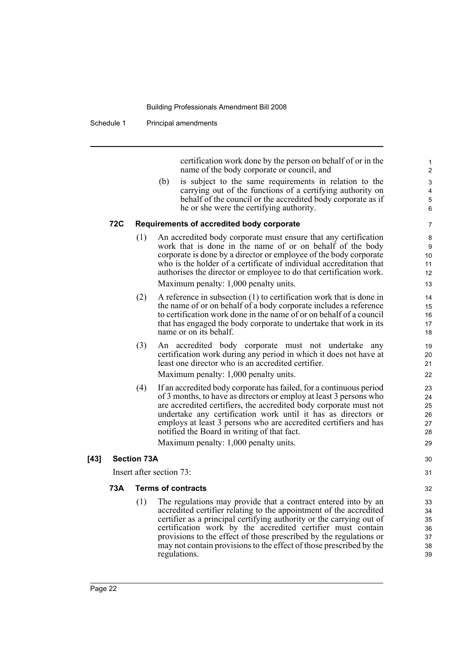Schedule 1 Principal amendments

certification work done by the person on behalf of or in the name of the body corporate or council, and

30 31

(b) is subject to the same requirements in relation to the carrying out of the functions of a certifying authority on behalf of the council or the accredited body corporate as if he or she were the certifying authority.

#### **72C Requirements of accredited body corporate**

- (1) An accredited body corporate must ensure that any certification work that is done in the name of or on behalf of the body corporate is done by a director or employee of the body corporate who is the holder of a certificate of individual accreditation that authorises the director or employee to do that certification work. Maximum penalty: 1,000 penalty units.
- (2) A reference in subsection (1) to certification work that is done in the name of or on behalf of a body corporate includes a reference to certification work done in the name of or on behalf of a council that has engaged the body corporate to undertake that work in its name or on its behalf.
- (3) An accredited body corporate must not undertake any certification work during any period in which it does not have at least one director who is an accredited certifier.

Maximum penalty: 1,000 penalty units.

(4) If an accredited body corporate has failed, for a continuous period of 3 months, to have as directors or employ at least 3 persons who are accredited certifiers, the accredited body corporate must not undertake any certification work until it has as directors or employs at least 3 persons who are accredited certifiers and has notified the Board in writing of that fact.

Maximum penalty: 1,000 penalty units.

#### **[43] Section 73A**

Insert after section 73:

#### **73A Terms of contracts**

(1) The regulations may provide that a contract entered into by an accredited certifier relating to the appointment of the accredited certifier as a principal certifying authority or the carrying out of certification work by the accredited certifier must contain provisions to the effect of those prescribed by the regulations or may not contain provisions to the effect of those prescribed by the regulations.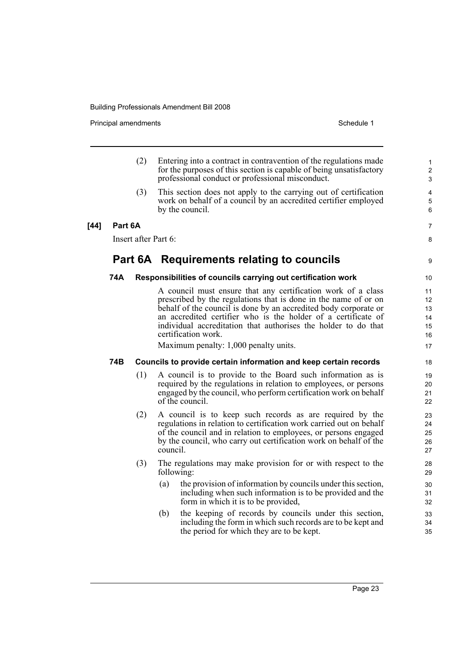Principal amendments **Schedule 1** Schedule 1

|        |         | (2)                  | Entering into a contract in contravention of the regulations made<br>for the purposes of this section is capable of being unsatisfactory<br>professional conduct or professional misconduct.                                                                                                                                                                                                           | $\mathbf{1}$<br>$\overline{2}$<br>3    |
|--------|---------|----------------------|--------------------------------------------------------------------------------------------------------------------------------------------------------------------------------------------------------------------------------------------------------------------------------------------------------------------------------------------------------------------------------------------------------|----------------------------------------|
|        |         | (3)                  | This section does not apply to the carrying out of certification<br>work on behalf of a council by an accredited certifier employed<br>by the council.                                                                                                                                                                                                                                                 | 4<br>5<br>6                            |
| $[44]$ | Part 6A |                      |                                                                                                                                                                                                                                                                                                                                                                                                        | 7                                      |
|        |         | Insert after Part 6: |                                                                                                                                                                                                                                                                                                                                                                                                        | 8                                      |
|        |         |                      | Part 6A Requirements relating to councils                                                                                                                                                                                                                                                                                                                                                              | 9                                      |
|        | 74A     |                      | Responsibilities of councils carrying out certification work                                                                                                                                                                                                                                                                                                                                           | 10                                     |
|        |         |                      | A council must ensure that any certification work of a class<br>prescribed by the regulations that is done in the name of or on<br>behalf of the council is done by an accredited body corporate or<br>an accredited certifier who is the holder of a certificate of<br>individual accreditation that authorises the holder to do that<br>certification work.<br>Maximum penalty: 1,000 penalty units. | 11<br>12<br>13<br>14<br>15<br>16<br>17 |
|        | 74B     |                      | Councils to provide certain information and keep certain records                                                                                                                                                                                                                                                                                                                                       | 18                                     |
|        |         | (1)                  | A council is to provide to the Board such information as is<br>required by the regulations in relation to employees, or persons<br>engaged by the council, who perform certification work on behalf<br>of the council.                                                                                                                                                                                 | 19<br>20<br>21<br>22                   |
|        |         | (2)                  | A council is to keep such records as are required by the<br>regulations in relation to certification work carried out on behalf<br>of the council and in relation to employees, or persons engaged<br>by the council, who carry out certification work on behalf of the<br>council.                                                                                                                    | 23<br>24<br>25<br>26<br>27             |
|        |         | (3)                  | The regulations may make provision for or with respect to the<br>following:                                                                                                                                                                                                                                                                                                                            | 28<br>29                               |
|        |         |                      | the provision of information by councils under this section,<br>(a)<br>including when such information is to be provided and the<br>form in which it is to be provided,                                                                                                                                                                                                                                | 30<br>31<br>32                         |
|        |         |                      | the keeping of records by councils under this section,<br>(b)<br>including the form in which such records are to be kept and<br>the period for which they are to be kept.                                                                                                                                                                                                                              | 33<br>34<br>35                         |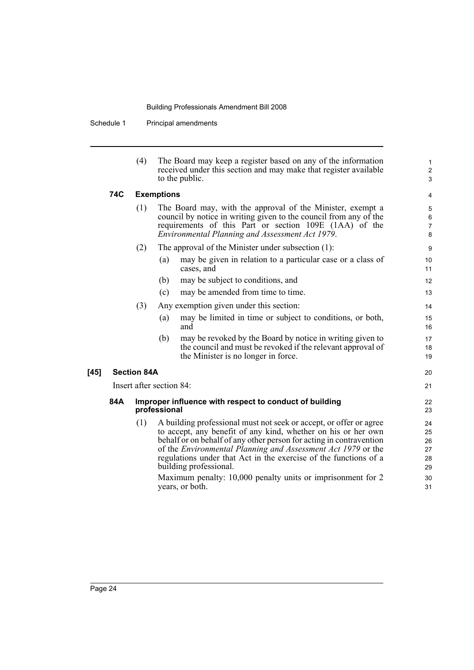Schedule 1 Principal amendments

|                    | (4) | The Board may keep a register based on any of the information                                                                                                                                                                                                                                                                                                                                                                                              | $\mathbf{1}$                                 |  |
|--------------------|-----|------------------------------------------------------------------------------------------------------------------------------------------------------------------------------------------------------------------------------------------------------------------------------------------------------------------------------------------------------------------------------------------------------------------------------------------------------------|----------------------------------------------|--|
|                    |     | received under this section and may make that register available<br>to the public.                                                                                                                                                                                                                                                                                                                                                                         | $\boldsymbol{2}$<br>$\mathfrak{S}$           |  |
| 74C                |     | <b>Exemptions</b>                                                                                                                                                                                                                                                                                                                                                                                                                                          | $\overline{4}$                               |  |
|                    | (1) | The Board may, with the approval of the Minister, exempt a<br>council by notice in writing given to the council from any of the<br>requirements of this Part or section 109E (1AA) of the<br>Environmental Planning and Assessment Act 1979.                                                                                                                                                                                                               |                                              |  |
|                    | (2) | The approval of the Minister under subsection $(1)$ :                                                                                                                                                                                                                                                                                                                                                                                                      | 9                                            |  |
|                    |     | may be given in relation to a particular case or a class of<br>(a)<br>cases, and                                                                                                                                                                                                                                                                                                                                                                           | 10<br>11                                     |  |
|                    |     | may be subject to conditions, and<br>(b)                                                                                                                                                                                                                                                                                                                                                                                                                   | 12                                           |  |
|                    |     | may be amended from time to time.<br>(c)                                                                                                                                                                                                                                                                                                                                                                                                                   | 13                                           |  |
|                    | (3) | Any exemption given under this section:                                                                                                                                                                                                                                                                                                                                                                                                                    | 14                                           |  |
|                    |     | (a)<br>may be limited in time or subject to conditions, or both,<br>and                                                                                                                                                                                                                                                                                                                                                                                    | 15<br>16                                     |  |
|                    |     | may be revoked by the Board by notice in writing given to<br>(b)<br>the council and must be revoked if the relevant approval of<br>the Minister is no longer in force.                                                                                                                                                                                                                                                                                     | 17<br>18<br>19                               |  |
| <b>Section 84A</b> |     |                                                                                                                                                                                                                                                                                                                                                                                                                                                            | 20                                           |  |
|                    |     | Insert after section 84:                                                                                                                                                                                                                                                                                                                                                                                                                                   | 21                                           |  |
| 84A                |     | Improper influence with respect to conduct of building<br>professional                                                                                                                                                                                                                                                                                                                                                                                     | 22<br>23                                     |  |
|                    | (1) | A building professional must not seek or accept, or offer or agree<br>to accept, any benefit of any kind, whether on his or her own<br>behalf or on behalf of any other person for acting in contravention<br>of the Environmental Planning and Assessment Act 1979 or the<br>regulations under that Act in the exercise of the functions of a<br>building professional.<br>Maximum penalty: 10,000 penalty units or imprisonment for 2<br>years, or both. | 24<br>25<br>26<br>27<br>28<br>29<br>30<br>31 |  |

 $[45]$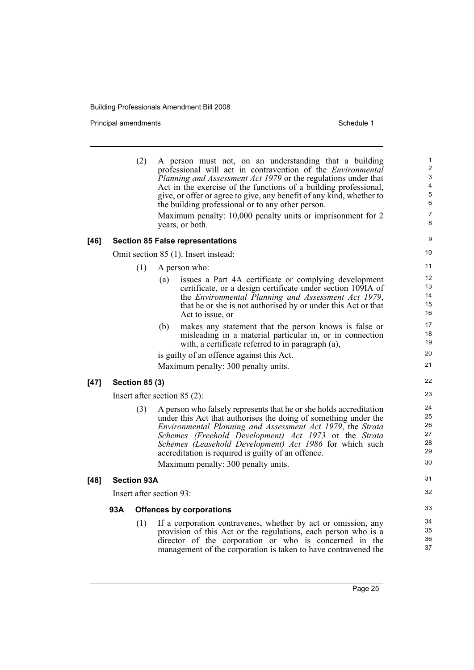Principal amendments **Schedule 1** Schedule 1

|        |     | (2)                   | A person must not, on an understanding that a building<br>professional will act in contravention of the <i>Environmental</i>                                                                                                                                                                                                                                                                                         | 1<br>$\overline{c}$                       |
|--------|-----|-----------------------|----------------------------------------------------------------------------------------------------------------------------------------------------------------------------------------------------------------------------------------------------------------------------------------------------------------------------------------------------------------------------------------------------------------------|-------------------------------------------|
|        |     |                       | <i>Planning and Assessment Act 1979</i> or the regulations under that                                                                                                                                                                                                                                                                                                                                                | $\mathsf 3$                               |
|        |     |                       | Act in the exercise of the functions of a building professional,<br>give, or offer or agree to give, any benefit of any kind, whether to                                                                                                                                                                                                                                                                             | $\overline{\mathbf{4}}$<br>$\overline{5}$ |
|        |     |                       | the building professional or to any other person.                                                                                                                                                                                                                                                                                                                                                                    | 6                                         |
|        |     |                       | Maximum penalty: 10,000 penalty units or imprisonment for 2<br>years, or both.                                                                                                                                                                                                                                                                                                                                       | 7<br>8                                    |
| [46]   |     |                       | <b>Section 85 False representations</b>                                                                                                                                                                                                                                                                                                                                                                              | 9                                         |
|        |     |                       | Omit section 85 (1). Insert instead:                                                                                                                                                                                                                                                                                                                                                                                 | 10                                        |
|        |     | (1)                   | A person who:                                                                                                                                                                                                                                                                                                                                                                                                        | 11                                        |
|        |     |                       | issues a Part 4A certificate or complying development<br>(a)<br>certificate, or a design certificate under section 109IA of<br>the Environmental Planning and Assessment Act 1979,<br>that he or she is not authorised by or under this Act or that<br>Act to issue, or                                                                                                                                              | 12<br>13<br>14<br>15<br>16                |
|        |     |                       | makes any statement that the person knows is false or<br>(b)<br>misleading in a material particular in, or in connection<br>with, a certificate referred to in paragraph (a),                                                                                                                                                                                                                                        | 17<br>18<br>19                            |
|        |     |                       | is guilty of an offence against this Act.                                                                                                                                                                                                                                                                                                                                                                            | 20                                        |
|        |     |                       | Maximum penalty: 300 penalty units.                                                                                                                                                                                                                                                                                                                                                                                  | 21                                        |
| $[47]$ |     | <b>Section 85 (3)</b> |                                                                                                                                                                                                                                                                                                                                                                                                                      | 22                                        |
|        |     |                       | Insert after section $85(2)$ :                                                                                                                                                                                                                                                                                                                                                                                       | 23                                        |
|        |     | (3)                   | A person who falsely represents that he or she holds accreditation<br>under this Act that authorises the doing of something under the<br>Environmental Planning and Assessment Act 1979, the Strata<br>Schemes (Freehold Development) Act 1973 or the Strata<br>Schemes (Leasehold Development) Act 1986 for which such<br>accreditation is required is guilty of an offence.<br>Maximum penalty: 300 penalty units. | 24<br>25<br>26<br>27<br>28<br>29<br>30    |
| [48]   |     | <b>Section 93A</b>    |                                                                                                                                                                                                                                                                                                                                                                                                                      | 31                                        |
|        |     |                       | Insert after section 93:                                                                                                                                                                                                                                                                                                                                                                                             | 32                                        |
|        | 93A |                       | <b>Offences by corporations</b>                                                                                                                                                                                                                                                                                                                                                                                      | 33                                        |
|        |     | (1)                   | If a corporation contravenes, whether by act or omission, any<br>provision of this Act or the regulations, each person who is a<br>director of the corporation or who is concerned in the<br>management of the corporation is taken to have contravened the                                                                                                                                                          | 34<br>35<br>36<br>37                      |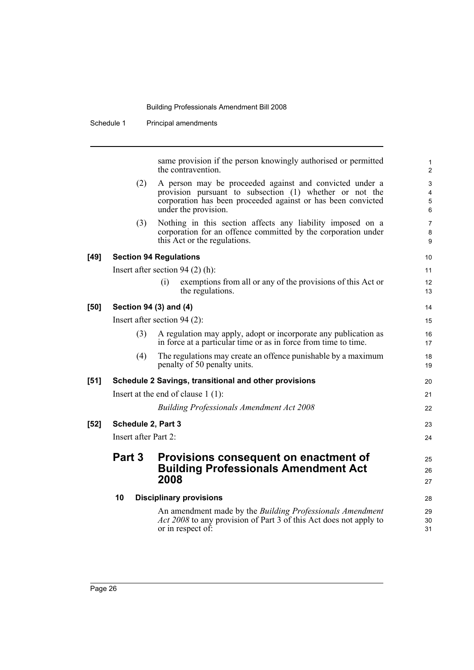|        | Schedule 1           | Principal amendments                                                                                                                                                                                       |                                |
|--------|----------------------|------------------------------------------------------------------------------------------------------------------------------------------------------------------------------------------------------------|--------------------------------|
|        |                      |                                                                                                                                                                                                            |                                |
|        |                      | same provision if the person knowingly authorised or permitted<br>the contravention.                                                                                                                       | $\mathbf{1}$<br>$\overline{2}$ |
|        | (2)                  | A person may be proceeded against and convicted under a<br>provision pursuant to subsection (1) whether or not the<br>corporation has been proceeded against or has been convicted<br>under the provision. | 3<br>4<br>5<br>6               |
|        | (3)                  | Nothing in this section affects any liability imposed on a<br>corporation for an offence committed by the corporation under<br>this Act or the regulations.                                                | $\overline{7}$<br>8<br>9       |
| $[49]$ |                      | <b>Section 94 Regulations</b>                                                                                                                                                                              | 10                             |
|        |                      | Insert after section 94 $(2)$ (h):                                                                                                                                                                         | 11                             |
|        |                      | exemptions from all or any of the provisions of this Act or<br>(i)<br>the regulations.                                                                                                                     | 12<br>13                       |
| $[50]$ |                      | Section 94 (3) and (4)                                                                                                                                                                                     | 14                             |
|        |                      | Insert after section $94(2)$ :                                                                                                                                                                             | 15                             |
|        | (3)                  | A regulation may apply, adopt or incorporate any publication as<br>in force at a particular time or as in force from time to time.                                                                         | 16<br>17                       |
|        | (4)                  | The regulations may create an offence punishable by a maximum<br>penalty of 50 penalty units.                                                                                                              | 18<br>19                       |
| $[51]$ |                      | Schedule 2 Savings, transitional and other provisions                                                                                                                                                      | 20                             |
|        |                      | Insert at the end of clause $1(1)$ :                                                                                                                                                                       | 21                             |
|        |                      | <b>Building Professionals Amendment Act 2008</b>                                                                                                                                                           | 22                             |
| $[52]$ | Schedule 2, Part 3   |                                                                                                                                                                                                            | 23                             |
|        | Insert after Part 2: |                                                                                                                                                                                                            | 24                             |
|        | Part 3               | Provisions consequent on enactment of<br><b>Building Professionals Amendment Act</b><br>2008                                                                                                               | 25<br>26<br>27                 |
|        | 10                   | <b>Disciplinary provisions</b>                                                                                                                                                                             | 28                             |
|        |                      | An amendment made by the <i>Building Professionals Amendment</i><br><i>Act 2008</i> to any provision of Part 3 of this Act does not apply to<br>or in respect of:                                          | 29<br>30<br>31                 |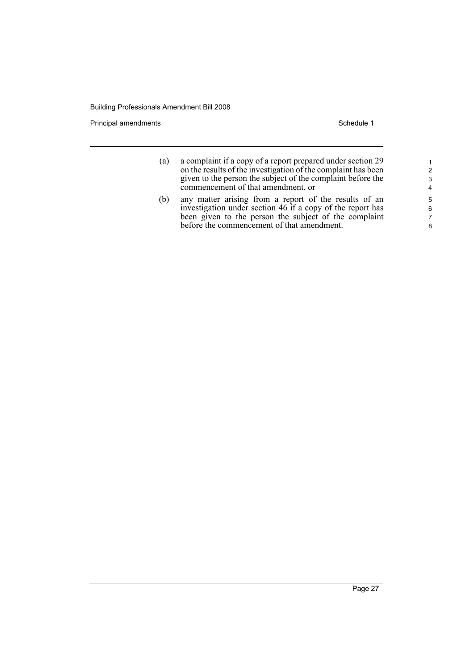Principal amendments **Schedule 1** Schedule 1

| a complaint if a copy of a report prepared under section 29   |
|---------------------------------------------------------------|
| on the results of the investigation of the complaint has been |
| given to the person the subject of the complaint before the   |
| commencement of that amendment, or                            |
|                                                               |

(b) any matter arising from a report of the results of an investigation under section 46 if a copy of the report has been given to the person the subject of the complaint before the commencement of that amendment.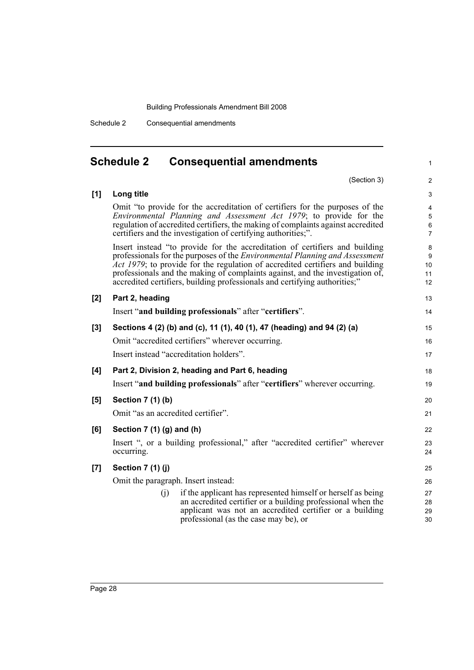Schedule 2 Consequential amendments

<span id="page-37-0"></span>

|       | <b>Schedule 2</b><br><b>Consequential amendments</b>                                                                                                                                                                                                                                                                                                                                                              | 1                             |
|-------|-------------------------------------------------------------------------------------------------------------------------------------------------------------------------------------------------------------------------------------------------------------------------------------------------------------------------------------------------------------------------------------------------------------------|-------------------------------|
|       | (Section 3)                                                                                                                                                                                                                                                                                                                                                                                                       | $\overline{c}$                |
| [1]   | Long title                                                                                                                                                                                                                                                                                                                                                                                                        | 3                             |
|       | Omit "to provide for the accreditation of certifiers for the purposes of the<br>Environmental Planning and Assessment Act 1979; to provide for the<br>regulation of accredited certifiers, the making of complaints against accredited<br>certifiers and the investigation of certifying authorities;".                                                                                                           | 4<br>5<br>6<br>$\overline{7}$ |
|       | Insert instead "to provide for the accreditation of certifiers and building<br>professionals for the purposes of the <i>Environmental Planning and Assessment</i><br>Act 1979; to provide for the regulation of accredited certifiers and building<br>professionals and the making of complaints against, and the investigation of,<br>accredited certifiers, building professionals and certifying authorities;" | 8<br>9<br>10<br>11<br>12      |
| [2]   | Part 2, heading                                                                                                                                                                                                                                                                                                                                                                                                   | 13                            |
|       | Insert "and building professionals" after "certifiers".                                                                                                                                                                                                                                                                                                                                                           | 14                            |
| $[3]$ | Sections 4 (2) (b) and (c), 11 (1), 40 (1), 47 (heading) and 94 (2) (a)                                                                                                                                                                                                                                                                                                                                           | 15                            |
|       | Omit "accredited certifiers" wherever occurring.                                                                                                                                                                                                                                                                                                                                                                  | 16                            |
|       | Insert instead "accreditation holders".                                                                                                                                                                                                                                                                                                                                                                           | 17                            |
| [4]   | Part 2, Division 2, heading and Part 6, heading                                                                                                                                                                                                                                                                                                                                                                   | 18                            |
|       | Insert "and building professionals" after "certifiers" wherever occurring.                                                                                                                                                                                                                                                                                                                                        | 19                            |
| [5]   | Section 7 (1) (b)                                                                                                                                                                                                                                                                                                                                                                                                 | 20                            |
|       | Omit "as an accredited certifier".                                                                                                                                                                                                                                                                                                                                                                                | 21                            |
| [6]   | Section $7(1)(g)$ and $(h)$                                                                                                                                                                                                                                                                                                                                                                                       | 22                            |
|       | Insert ", or a building professional," after "accredited certifier" wherever<br>occurring.                                                                                                                                                                                                                                                                                                                        | 23<br>24                      |
| [7]   | Section 7 (1) (j)                                                                                                                                                                                                                                                                                                                                                                                                 | 25                            |
|       | Omit the paragraph. Insert instead:                                                                                                                                                                                                                                                                                                                                                                               | 26                            |
|       | if the applicant has represented himself or herself as being<br>(i)<br>an accredited certifier or a building professional when the                                                                                                                                                                                                                                                                                | 27<br>28                      |
|       | applicant was not an accredited certifier or a building<br>professional (as the case may be), or                                                                                                                                                                                                                                                                                                                  | 29<br>30                      |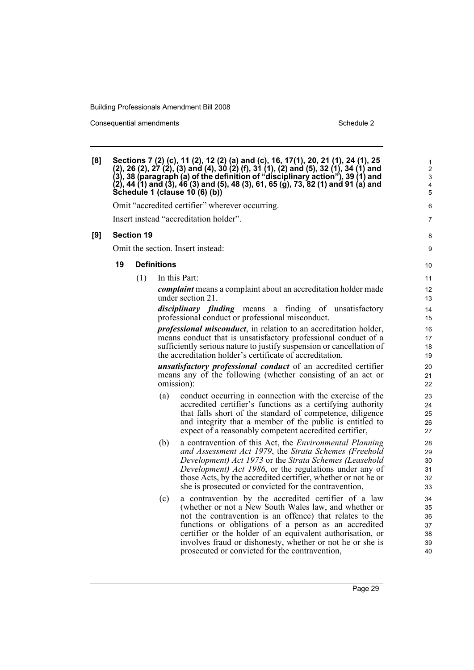Consequential amendments **Schedule 2** Schedule 2

| [8] |    |                   |                    | Sections 7 (2) (c), 11 (2), 12 (2) (a) and (c), 16, 17(1), 20, 21 (1), 24 (1), 25<br>(2), 26 (2), 27 (2), (3) and (4), 30 (2) (f), 31 (1), (2) and (5), 32 (1), 34 (1) and<br>(3), 38 (paragraph (a) of the definition of "disciplinary action"), 39 (1) and<br>(2), 44 (1) and (3), 46 (3) and (5), 48 (3), 61, 65 (g), 73, 82 (1) and 91 (a) and<br>Schedule 1 (clause 10 (6) (b))                            | $\mathbf{1}$<br>$\overline{c}$<br>$\mathbf{3}$<br>4<br>$\overline{5}$ |
|-----|----|-------------------|--------------------|-----------------------------------------------------------------------------------------------------------------------------------------------------------------------------------------------------------------------------------------------------------------------------------------------------------------------------------------------------------------------------------------------------------------|-----------------------------------------------------------------------|
|     |    |                   |                    | Omit "accredited certifier" wherever occurring.                                                                                                                                                                                                                                                                                                                                                                 | 6                                                                     |
|     |    |                   |                    | Insert instead "accreditation holder".                                                                                                                                                                                                                                                                                                                                                                          | 7                                                                     |
| [9] |    | <b>Section 19</b> |                    |                                                                                                                                                                                                                                                                                                                                                                                                                 | 8                                                                     |
|     |    |                   |                    | Omit the section. Insert instead:                                                                                                                                                                                                                                                                                                                                                                               | 9                                                                     |
|     | 19 |                   | <b>Definitions</b> |                                                                                                                                                                                                                                                                                                                                                                                                                 | 10                                                                    |
|     |    | (1)               |                    | In this Part:                                                                                                                                                                                                                                                                                                                                                                                                   | 11                                                                    |
|     |    |                   |                    | complaint means a complaint about an accreditation holder made<br>under section 21.                                                                                                                                                                                                                                                                                                                             | 12<br>13                                                              |
|     |    |                   |                    | <i>disciplinary finding</i> means a finding of unsatisfactory<br>professional conduct or professional misconduct.                                                                                                                                                                                                                                                                                               | 14<br>15                                                              |
|     |    |                   |                    | <i>professional misconduct</i> , in relation to an accreditation holder,<br>means conduct that is unsatisfactory professional conduct of a<br>sufficiently serious nature to justify suspension or cancellation of<br>the accreditation holder's certificate of accreditation.                                                                                                                                  | 16<br>17<br>18<br>19                                                  |
|     |    |                   |                    | unsatisfactory professional conduct of an accredited certifier<br>means any of the following (whether consisting of an act or<br>omission):                                                                                                                                                                                                                                                                     | 20<br>21<br>22                                                        |
|     |    |                   | (a)                | conduct occurring in connection with the exercise of the<br>accredited certifier's functions as a certifying authority<br>that falls short of the standard of competence, diligence<br>and integrity that a member of the public is entitled to<br>expect of a reasonably competent accredited certifier,                                                                                                       | 23<br>24<br>25<br>26<br>27                                            |
|     |    |                   | (b)                | a contravention of this Act, the <i>Environmental Planning</i><br>and Assessment Act 1979, the Strata Schemes (Freehold<br>Development) Act 1973 or the Strata Schemes (Leasehold<br><i>Development) Act 1986</i> , or the regulations under any of<br>those Acts, by the accredited certifier, whether or not he or<br>she is prosecuted or convicted for the contravention,                                   | 28<br>29<br>30<br>31<br>32<br>33                                      |
|     |    |                   | (c)                | a contravention by the accredited certifier of a law<br>(whether or not a New South Wales law, and whether or<br>not the contravention is an offence) that relates to the<br>functions or obligations of a person as an accredited<br>certifier or the holder of an equivalent authorisation, or<br>involves fraud or dishonesty, whether or not he or she is<br>prosecuted or convicted for the contravention, | 34<br>35<br>36<br>37<br>38<br>39<br>40                                |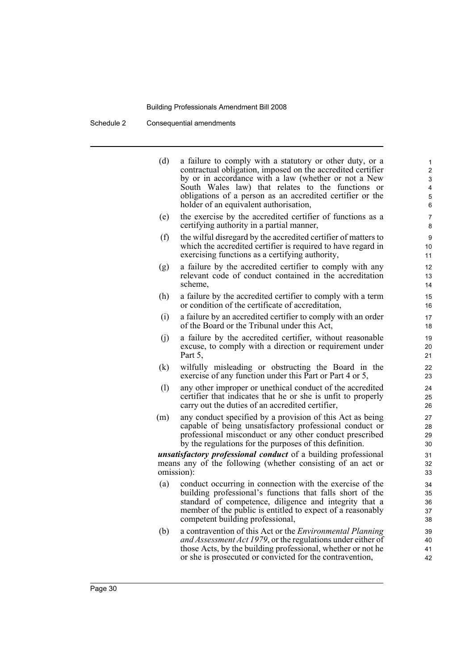Schedule 2 Consequential amendments

| (d) | a failure to comply with a statutory or other duty, or a<br>contractual obligation, imposed on the accredited certifier<br>by or in accordance with a law (whether or not a New<br>South Wales law) that relates to the functions or<br>obligations of a person as an accredited certifier or the<br>holder of an equivalent authorisation, | 1<br>$\overline{2}$<br>3<br>4<br>5<br>6 |
|-----|---------------------------------------------------------------------------------------------------------------------------------------------------------------------------------------------------------------------------------------------------------------------------------------------------------------------------------------------|-----------------------------------------|
| (e) | the exercise by the accredited certifier of functions as a<br>certifying authority in a partial manner,                                                                                                                                                                                                                                     | 7<br>8                                  |
| (f) | the wilful disregard by the accredited certifier of matters to<br>which the accredited certifier is required to have regard in<br>exercising functions as a certifying authority,                                                                                                                                                           | 9<br>10<br>11                           |
| (g) | a failure by the accredited certifier to comply with any<br>relevant code of conduct contained in the accreditation<br>scheme,                                                                                                                                                                                                              | 12<br>13<br>14                          |
| (h) | a failure by the accredited certifier to comply with a term<br>or condition of the certificate of accreditation,                                                                                                                                                                                                                            | 15<br>16                                |
| (i) | a failure by an accredited certifier to comply with an order<br>of the Board or the Tribunal under this Act,                                                                                                                                                                                                                                | 17<br>18                                |
| (j) | a failure by the accredited certifier, without reasonable<br>excuse, to comply with a direction or requirement under<br>Part 5,                                                                                                                                                                                                             | 19<br>20<br>21                          |
| (k) | wilfully misleading or obstructing the Board in the<br>exercise of any function under this Part or Part 4 or 5,                                                                                                                                                                                                                             | 22<br>23                                |
| (1) | any other improper or unethical conduct of the accredited<br>certifier that indicates that he or she is unfit to properly<br>carry out the duties of an accredited certifier,                                                                                                                                                               | 24<br>25<br>26                          |
| (m) | any conduct specified by a provision of this Act as being<br>capable of being unsatisfactory professional conduct or<br>professional misconduct or any other conduct prescribed<br>by the regulations for the purposes of this definition.                                                                                                  | 27<br>28<br>29<br>30                    |
|     | <i>unsatisfactory professional conduct</i> of a building professional<br>means any of the following (whether consisting of an act or<br>omission):                                                                                                                                                                                          | 31<br>32<br>33                          |
| (a) | conduct occurring in connection with the exercise of the<br>building professional's functions that falls short of the<br>standard of competence, diligence and integrity that a<br>member of the public is entitled to expect of a reasonably<br>competent building professional,                                                           | 34<br>35<br>36<br>37<br>38              |
| (b) | a contravention of this Act or the <i>Environmental Planning</i><br>and Assessment Act 1979, or the regulations under either of<br>those Acts, by the building professional, whether or not he                                                                                                                                              | 39<br>40<br>41                          |

42

or she is prosecuted or convicted for the contravention,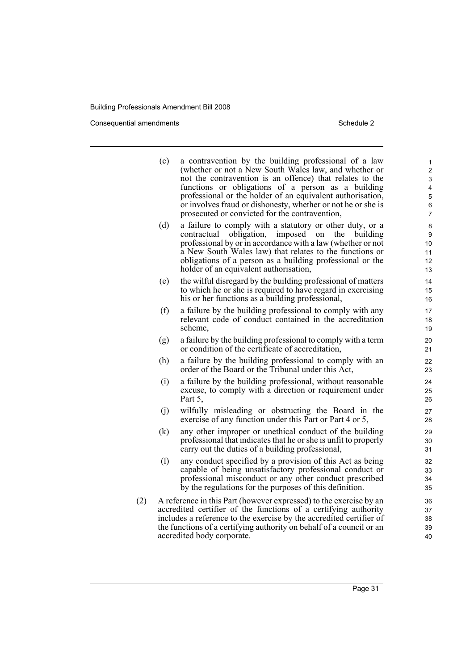Consequential amendments **Schedule 2** Schedule 2

|     | (c) | a contravention by the building professional of a law<br>(whether or not a New South Wales law, and whether or<br>not the contravention is an offence) that relates to the<br>functions or obligations of a person as a building<br>professional or the holder of an equivalent authorisation,<br>or involves fraud or dishonesty, whether or not he or she is<br>prosecuted or convicted for the contravention, | 1<br>$\overline{2}$<br>3<br>4<br>5<br>$\,6\,$<br>$\overline{7}$ |
|-----|-----|------------------------------------------------------------------------------------------------------------------------------------------------------------------------------------------------------------------------------------------------------------------------------------------------------------------------------------------------------------------------------------------------------------------|-----------------------------------------------------------------|
|     | (d) | a failure to comply with a statutory or other duty, or a<br>contractual obligation, imposed on<br>the building<br>professional by or in accordance with a law (whether or not<br>a New South Wales law) that relates to the functions or<br>obligations of a person as a building professional or the<br>holder of an equivalent authorisation,                                                                  | 8<br>9<br>10<br>11<br>12<br>13                                  |
|     | (e) | the wilful disregard by the building professional of matters<br>to which he or she is required to have regard in exercising<br>his or her functions as a building professional,                                                                                                                                                                                                                                  | 14<br>15<br>16                                                  |
|     | (f) | a failure by the building professional to comply with any<br>relevant code of conduct contained in the accreditation<br>scheme,                                                                                                                                                                                                                                                                                  | 17<br>18<br>19                                                  |
|     | (g) | a failure by the building professional to comply with a term<br>or condition of the certificate of accreditation.                                                                                                                                                                                                                                                                                                | 20<br>21                                                        |
|     | (h) | a failure by the building professional to comply with an<br>order of the Board or the Tribunal under this Act,                                                                                                                                                                                                                                                                                                   | 22<br>23                                                        |
|     | (i) | a failure by the building professional, without reasonable<br>excuse, to comply with a direction or requirement under<br>Part 5,                                                                                                                                                                                                                                                                                 | 24<br>25<br>26                                                  |
|     | (i) | wilfully misleading or obstructing the Board in the<br>exercise of any function under this Part or Part 4 or 5,                                                                                                                                                                                                                                                                                                  | 27<br>28                                                        |
|     | (k) | any other improper or unethical conduct of the building<br>professional that indicates that he or she is unfit to properly<br>carry out the duties of a building professional,                                                                                                                                                                                                                                   | 29<br>30<br>31                                                  |
|     | (1) | any conduct specified by a provision of this Act as being<br>capable of being unsatisfactory professional conduct or<br>professional misconduct or any other conduct prescribed<br>by the regulations for the purposes of this definition.                                                                                                                                                                       | 32<br>33<br>34<br>35                                            |
| (2) |     | A reference in this Part (however expressed) to the exercise by an<br>accredited certifier of the functions of a certifying authority<br>includes a reference to the exercise by the accredited certifier of<br>the functions of a certifying authority on behalf of a council or an<br>accredited body corporate.                                                                                               | 36<br>37<br>38<br>39<br>40                                      |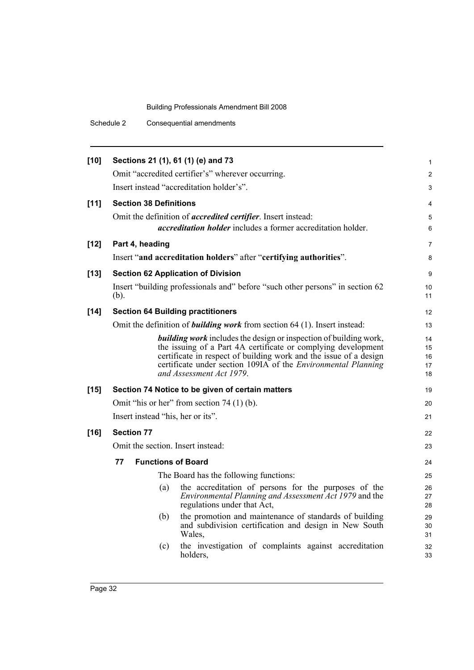Schedule 2 Consequential amendments

| $[10]$ | Sections 21 (1), 61 (1) (e) and 73          |                                                                                                  | 1              |  |  |
|--------|---------------------------------------------|--------------------------------------------------------------------------------------------------|----------------|--|--|
|        |                                             | Omit "accredited certifier's" wherever occurring.                                                | $\overline{2}$ |  |  |
|        |                                             | Insert instead "accreditation holder's".                                                         | 3              |  |  |
| $[11]$ | <b>Section 38 Definitions</b>               |                                                                                                  | 4              |  |  |
|        |                                             | Omit the definition of <i>accredited certifier</i> . Insert instead:                             | 5              |  |  |
|        |                                             | <i>accreditation holder</i> includes a former accreditation holder.                              | 6              |  |  |
| $[12]$ | Part 4, heading                             |                                                                                                  | $\overline{7}$ |  |  |
|        |                                             | Insert "and accreditation holders" after "certifying authorities".                               | 8              |  |  |
| $[13]$ |                                             | <b>Section 62 Application of Division</b>                                                        | 9              |  |  |
|        |                                             | Insert "building professionals and" before "such other persons" in section 62                    | 10             |  |  |
|        | $(b)$ .                                     |                                                                                                  | 11             |  |  |
| $[14]$ |                                             | <b>Section 64 Building practitioners</b>                                                         | 12             |  |  |
|        |                                             | Omit the definition of <b>building work</b> from section 64 (1). Insert instead:                 | 13             |  |  |
|        |                                             | <b>building work</b> includes the design or inspection of building work,                         | 14             |  |  |
|        |                                             | the issuing of a Part 4A certificate or complying development                                    | 15             |  |  |
|        |                                             | certificate in respect of building work and the issue of a design                                | 16             |  |  |
|        |                                             | certificate under section 109IA of the <i>Environmental Planning</i><br>and Assessment Act 1979. | 17<br>18       |  |  |
| $[15]$ |                                             | Section 74 Notice to be given of certain matters                                                 | 19             |  |  |
|        | Omit "his or her" from section $74(1)(b)$ . |                                                                                                  |                |  |  |
|        | Insert instead "his, her or its".           |                                                                                                  |                |  |  |
| $[16]$ | <b>Section 77</b>                           |                                                                                                  | 22             |  |  |
|        | Omit the section. Insert instead:           |                                                                                                  | 23             |  |  |
|        | <b>Functions of Board</b><br>77             |                                                                                                  | 24             |  |  |
|        | The Board has the following functions:      |                                                                                                  |                |  |  |
|        | (a)                                         | the accreditation of persons for the purposes of the                                             | 26             |  |  |
|        |                                             | <i>Environmental Planning and Assessment Act 1979</i> and the                                    | 27             |  |  |
|        |                                             | regulations under that Act,                                                                      | 28             |  |  |
|        | (b)                                         | the promotion and maintenance of standards of building                                           | 29             |  |  |
|        |                                             | and subdivision certification and design in New South<br>Wales.                                  | 30<br>31       |  |  |
|        | (c)                                         | the investigation of complaints against accreditation                                            | 32             |  |  |
|        |                                             | holders,                                                                                         | 33             |  |  |
|        |                                             |                                                                                                  |                |  |  |